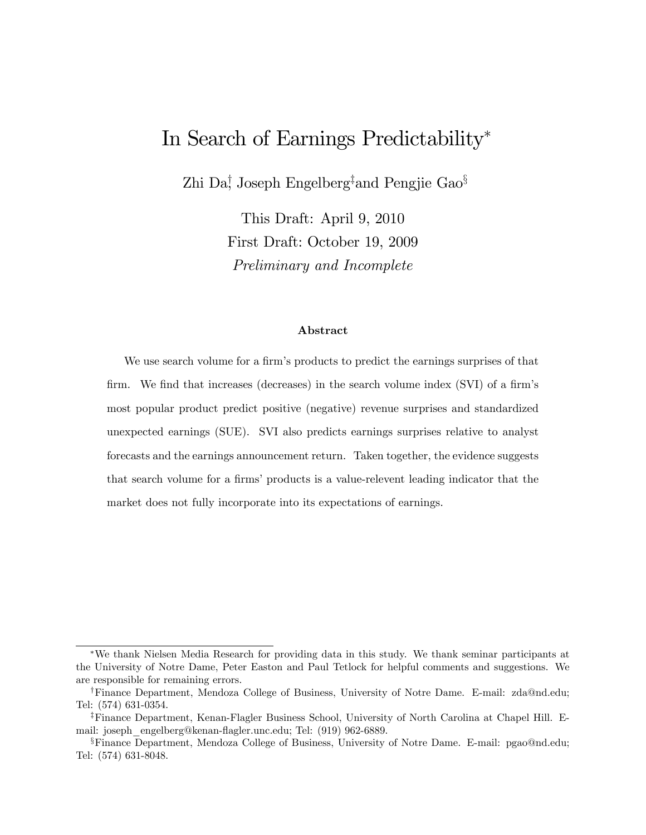# In Search of Earnings Predictability

 $Z$ hi Da<sup>†</sup> Joseph Engelberg<sup>‡</sup>and Pengjie Gao<sup>§</sup>

This Draft: April 9, 2010 First Draft: October 19, 2009 Preliminary and Incomplete

#### Abstract

We use search volume for a firm's products to predict the earnings surprises of that firm. We find that increases (decreases) in the search volume index  $(SVI)$  of a firm's most popular product predict positive (negative) revenue surprises and standardized unexpected earnings (SUE). SVI also predicts earnings surprises relative to analyst forecasts and the earnings announcement return. Taken together, the evidence suggests that search volume for a firms' products is a value-relevent leading indicator that the market does not fully incorporate into its expectations of earnings.

We thank Nielsen Media Research for providing data in this study. We thank seminar participants at the University of Notre Dame, Peter Easton and Paul Tetlock for helpful comments and suggestions. We are responsible for remaining errors.

<sup>&</sup>lt;sup>†</sup>Finance Department, Mendoza College of Business, University of Notre Dame. E-mail: zda@nd.edu; Tel: (574) 631-0354.

<sup>&</sup>lt;sup>‡</sup>Finance Department, Kenan-Flagler Business School, University of North Carolina at Chapel Hill. Email: joseph\_engelberg@kenan-áagler.unc.edu; Tel: (919) 962-6889.

<sup>&</sup>lt;sup>§</sup>Finance Department, Mendoza College of Business, University of Notre Dame. E-mail: pgao@nd.edu; Tel: (574) 631-8048.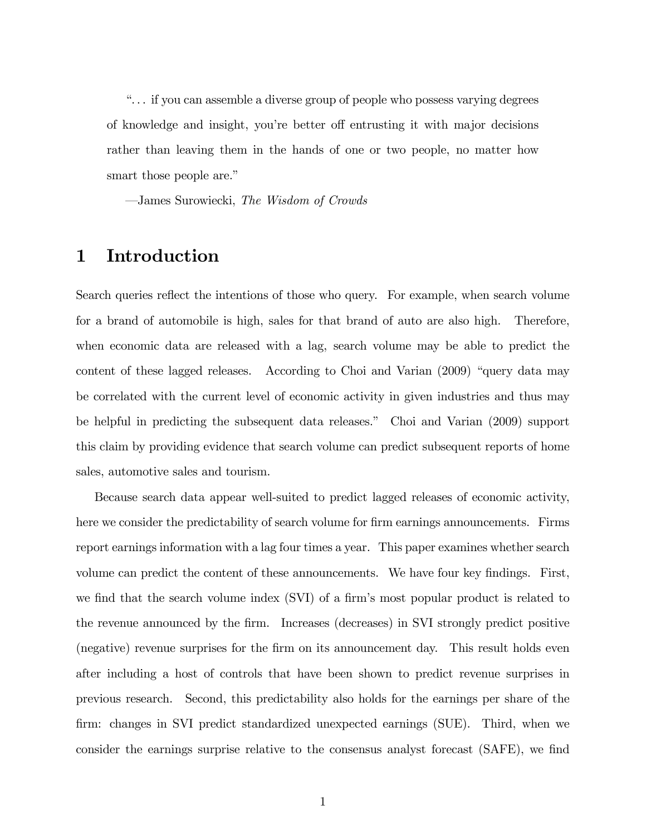ì. . . if you can assemble a diverse group of people who possess varying degrees of knowledge and insight, you're better off entrusting it with major decisions rather than leaving them in the hands of one or two people, no matter how smart those people are."

ó James Surowiecki, The Wisdom of Crowds

## 1 Introduction

Search queries reflect the intentions of those who query. For example, when search volume for a brand of automobile is high, sales for that brand of auto are also high. Therefore, when economic data are released with a lag, search volume may be able to predict the content of these lagged releases. According to Choi and Varian  $(2009)$  "query data may be correlated with the current level of economic activity in given industries and thus may be helpful in predicting the subsequent data releases." Choi and Varian (2009) support this claim by providing evidence that search volume can predict subsequent reports of home sales, automotive sales and tourism.

Because search data appear well-suited to predict lagged releases of economic activity, here we consider the predictability of search volume for firm earnings announcements. Firms report earnings information with a lag four times a year. This paper examines whether search volume can predict the content of these announcements. We have four key findings. First, we find that the search volume index (SVI) of a firm's most popular product is related to the revenue announced by the Örm. Increases (decreases) in SVI strongly predict positive (negative) revenue surprises for the firm on its announcement day. This result holds even after including a host of controls that have been shown to predict revenue surprises in previous research. Second, this predictability also holds for the earnings per share of the firm: changes in SVI predict standardized unexpected earnings (SUE). Third, when we consider the earnings surprise relative to the consensus analyst forecast (SAFE), we find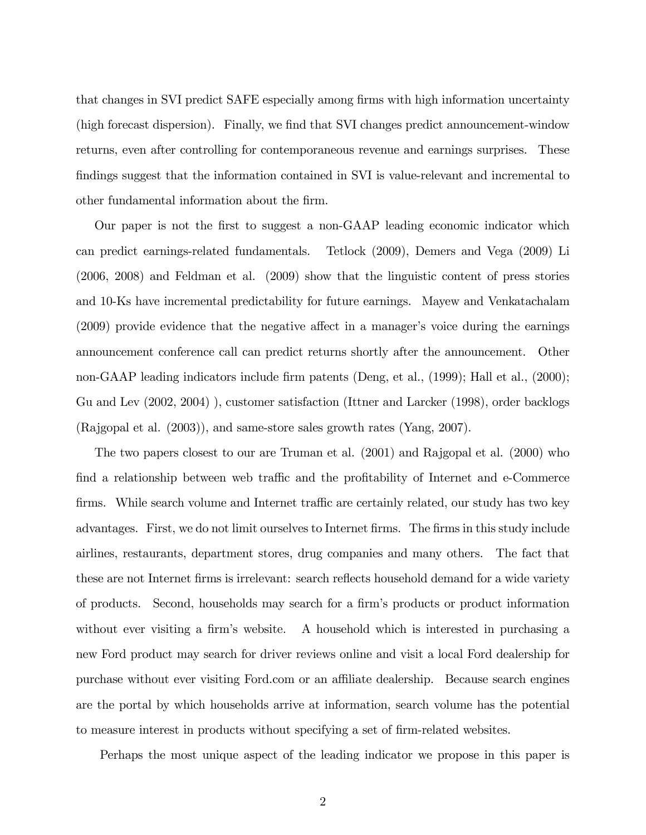that changes in SVI predict SAFE especially among firms with high information uncertainty (high forecast dispersion). Finally, we find that SVI changes predict announcement-window returns, even after controlling for contemporaneous revenue and earnings surprises. These findings suggest that the information contained in SVI is value-relevant and incremental to other fundamental information about the Örm.

Our paper is not the first to suggest a non-GAAP leading economic indicator which can predict earnings-related fundamentals. Tetlock (2009), Demers and Vega (2009) Li (2006, 2008) and Feldman et al. (2009) show that the linguistic content of press stories and 10-Ks have incremental predictability for future earnings. Mayew and Venkatachalam  $(2009)$  provide evidence that the negative affect in a manager's voice during the earnings announcement conference call can predict returns shortly after the announcement. Other non-GAAP leading indicators include firm patents (Deng, et al., (1999); Hall et al., (2000); Gu and Lev (2002, 2004) ), customer satisfaction (Ittner and Larcker (1998), order backlogs (Rajgopal et al. (2003)), and same-store sales growth rates (Yang, 2007).

The two papers closest to our are Truman et al. (2001) and Rajgopal et al. (2000) who find a relationship between web traffic and the profitability of Internet and e-Commerce firms. While search volume and Internet traffic are certainly related, our study has two key advantages. First, we do not limit ourselves to Internet firms. The firms in this study include airlines, restaurants, department stores, drug companies and many others. The fact that these are not Internet firms is irrelevant: search reflects household demand for a wide variety of products. Second, households may search for a firm's products or product information without ever visiting a firm's website. A household which is interested in purchasing a new Ford product may search for driver reviews online and visit a local Ford dealership for purchase without ever visiting Ford.com or an affiliate dealership. Because search engines are the portal by which households arrive at information, search volume has the potential to measure interest in products without specifying a set of firm-related websites.

Perhaps the most unique aspect of the leading indicator we propose in this paper is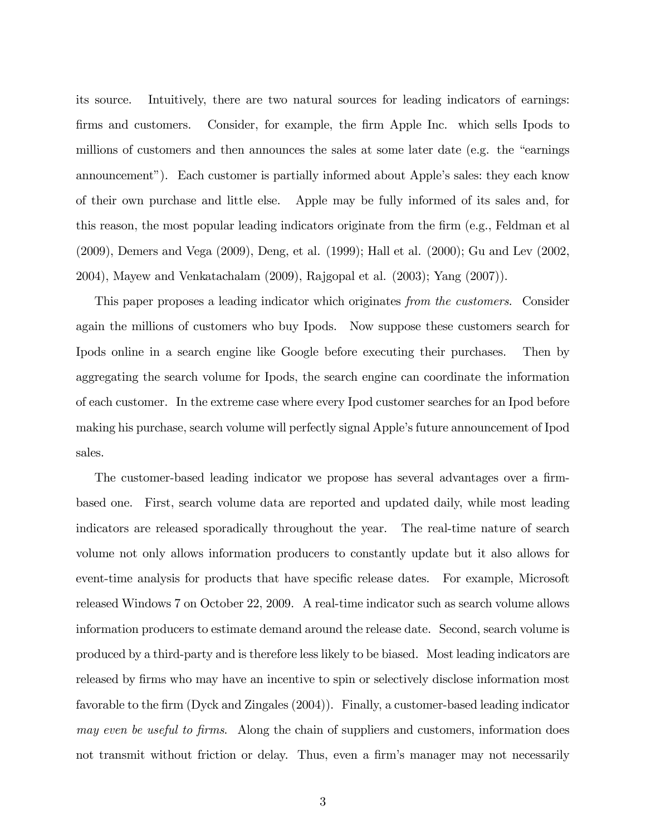its source. Intuitively, there are two natural sources for leading indicators of earnings: firms and customers. Consider, for example, the firm Apple Inc. which sells Ipods to millions of customers and then announces the sales at some later date (e.g. the  $\degree$ earnings announcement"). Each customer is partially informed about Apple's sales: they each know of their own purchase and little else. Apple may be fully informed of its sales and, for this reason, the most popular leading indicators originate from the firm (e.g., Feldman et al (2009), Demers and Vega (2009), Deng, et al. (1999); Hall et al. (2000); Gu and Lev (2002, 2004), Mayew and Venkatachalam (2009), Rajgopal et al. (2003); Yang (2007)).

This paper proposes a leading indicator which originates from the customers. Consider again the millions of customers who buy Ipods. Now suppose these customers search for Ipods online in a search engine like Google before executing their purchases. Then by aggregating the search volume for Ipods, the search engine can coordinate the information of each customer. In the extreme case where every Ipod customer searches for an Ipod before making his purchase, search volume will perfectly signal Apple's future announcement of Ipod sales.

The customer-based leading indicator we propose has several advantages over a firmbased one. First, search volume data are reported and updated daily, while most leading indicators are released sporadically throughout the year. The real-time nature of search volume not only allows information producers to constantly update but it also allows for event-time analysis for products that have specific release dates. For example, Microsoft released Windows 7 on October 22, 2009. A real-time indicator such as search volume allows information producers to estimate demand around the release date. Second, search volume is produced by a third-party and is therefore less likely to be biased. Most leading indicators are released by firms who may have an incentive to spin or selectively disclose information most favorable to the firm (Dyck and Zingales (2004)). Finally, a customer-based leading indicator may even be useful to firms. Along the chain of suppliers and customers, information does not transmit without friction or delay. Thus, even a firm's manager may not necessarily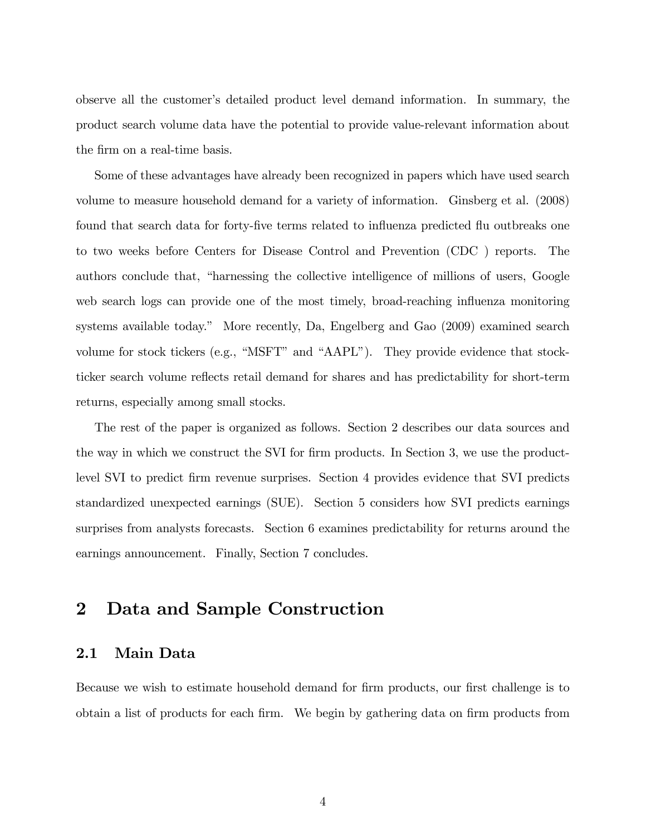observe all the customerís detailed product level demand information. In summary, the product search volume data have the potential to provide value-relevant information about the firm on a real-time basis.

Some of these advantages have already been recognized in papers which have used search volume to measure household demand for a variety of information. Ginsberg et al. (2008) found that search data for forty-five terms related to influenza predicted flu outbreaks one to two weeks before Centers for Disease Control and Prevention (CDC ) reports. The authors conclude that, "harnessing the collective intelligence of millions of users, Google web search logs can provide one of the most timely, broad-reaching influenza monitoring systems available today." More recently, Da, Engelberg and Gao (2009) examined search volume for stock tickers (e.g., "MSFT" and "AAPL"). They provide evidence that stockticker search volume reflects retail demand for shares and has predictability for short-term returns, especially among small stocks.

The rest of the paper is organized as follows. Section 2 describes our data sources and the way in which we construct the SVI for firm products. In Section 3, we use the productlevel SVI to predict Örm revenue surprises. Section 4 provides evidence that SVI predicts standardized unexpected earnings (SUE). Section 5 considers how SVI predicts earnings surprises from analysts forecasts. Section 6 examines predictability for returns around the earnings announcement. Finally, Section 7 concludes.

## 2 Data and Sample Construction

#### 2.1 Main Data

Because we wish to estimate household demand for firm products, our first challenge is to obtain a list of products for each firm. We begin by gathering data on firm products from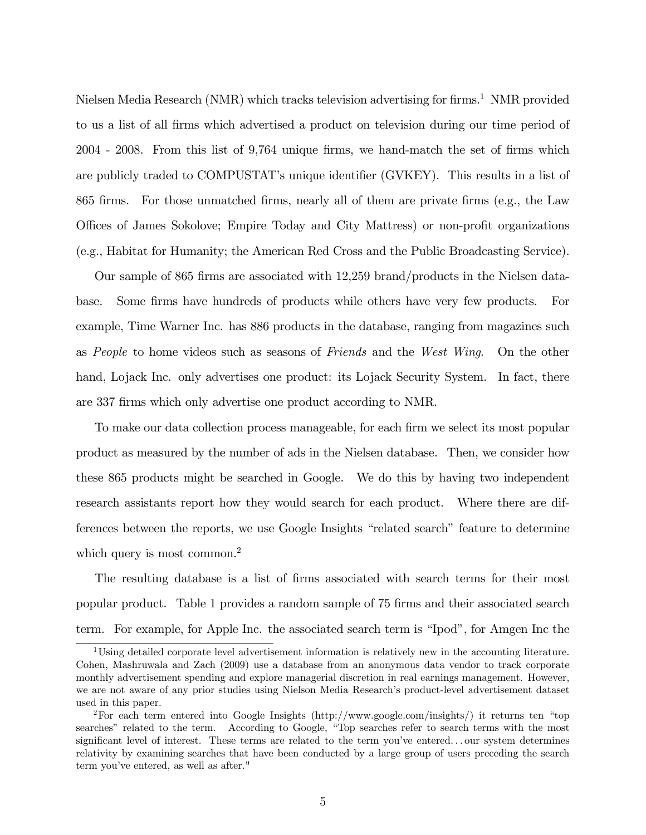Nielsen Media Research (NMR) which tracks television advertising for firms.<sup>1</sup> NMR provided to us a list of all Örms which advertised a product on television during our time period of  $2004$  -  $2008$ . From this list of 9,764 unique firms, we hand-match the set of firms which are publicly traded to COMPUSTAT's unique identifier (GVKEY). This results in a list of 865 firms. For those unmatched firms, nearly all of them are private firms (e.g., the Law Offices of James Sokolove; Empire Today and City Mattress) or non-profit organizations (e.g., Habitat for Humanity; the American Red Cross and the Public Broadcasting Service).

Our sample of 865 Örms are associated with 12,259 brand/products in the Nielsen database. Some firms have hundreds of products while others have very few products. For example, Time Warner Inc. has 886 products in the database, ranging from magazines such as People to home videos such as seasons of Friends and the West Wing. On the other hand, Lojack Inc. only advertises one product: its Lojack Security System. In fact, there are 337 Örms which only advertise one product according to NMR.

To make our data collection process manageable, for each firm we select its most popular product as measured by the number of ads in the Nielsen database. Then, we consider how these 865 products might be searched in Google. We do this by having two independent research assistants report how they would search for each product. Where there are differences between the reports, we use Google Insights "related search" feature to determine which query is most common.<sup>2</sup>

The resulting database is a list of firms associated with search terms for their most popular product. Table 1 provides a random sample of 75 Örms and their associated search term. For example, for Apple Inc. the associated search term is "Ipod", for Amgen Inc the

 $1$ Using detailed corporate level advertisement information is relatively new in the accounting literature. Cohen, Mashruwala and Zach (2009) use a database from an anonymous data vendor to track corporate monthly advertisement spending and explore managerial discretion in real earnings management. However, we are not aware of any prior studies using Nielson Media Research's product-level advertisement dataset used in this paper.

<sup>&</sup>lt;sup>2</sup>For each term entered into Google Insights (http://www.google.com/insights/) it returns ten "top searches" related to the term. According to Google, "Top searches refer to search terms with the most significant level of interest. These terms are related to the term you've entered...our system determines relativity by examining searches that have been conducted by a large group of users preceding the search term you've entered, as well as after."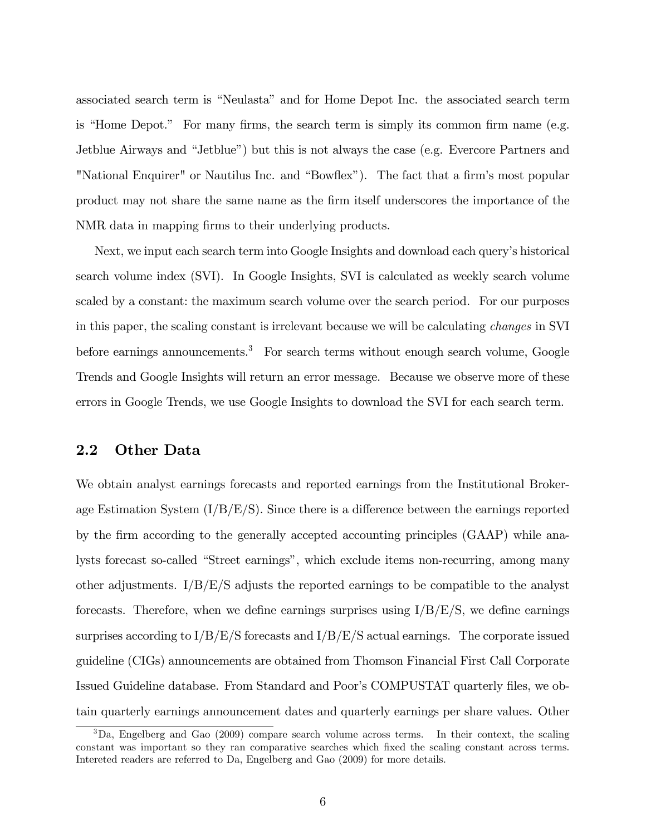associated search term is "Neulasta" and for Home Depot Inc. the associated search term is "Home Depot." For many firms, the search term is simply its common firm name (e.g. Jetblue Airways and "Jetblue") but this is not always the case (e.g. Evercore Partners and "National Enquirer" or Nautilus Inc. and "Bowflex"). The fact that a firm's most popular product may not share the same name as the Örm itself underscores the importance of the NMR data in mapping firms to their underlying products.

Next, we input each search term into Google Insights and download each query's historical search volume index (SVI). In Google Insights, SVI is calculated as weekly search volume scaled by a constant: the maximum search volume over the search period. For our purposes in this paper, the scaling constant is irrelevant because we will be calculating changes in SVI before earnings announcements.<sup>3</sup> For search terms without enough search volume, Google Trends and Google Insights will return an error message. Because we observe more of these errors in Google Trends, we use Google Insights to download the SVI for each search term.

#### 2.2 Other Data

We obtain analyst earnings forecasts and reported earnings from the Institutional Brokerage Estimation System  $(I/B/E/S)$ . Since there is a difference between the earnings reported by the firm according to the generally accepted accounting principles (GAAP) while analysts forecast so-called "Street earnings", which exclude items non-recurring, among many other adjustments. I/B/E/S adjusts the reported earnings to be compatible to the analyst forecasts. Therefore, when we define earnings surprises using  $I/B/E/S$ , we define earnings surprises according to  $I/B/E/S$  forecasts and  $I/B/E/S$  actual earnings. The corporate issued guideline (CIGs) announcements are obtained from Thomson Financial First Call Corporate Issued Guideline database. From Standard and Poor's COMPUSTAT quarterly files, we obtain quarterly earnings announcement dates and quarterly earnings per share values. Other

<sup>3</sup>Da, Engelberg and Gao (2009) compare search volume across terms. In their context, the scaling constant was important so they ran comparative searches which fixed the scaling constant across terms. Intereted readers are referred to Da, Engelberg and Gao (2009) for more details.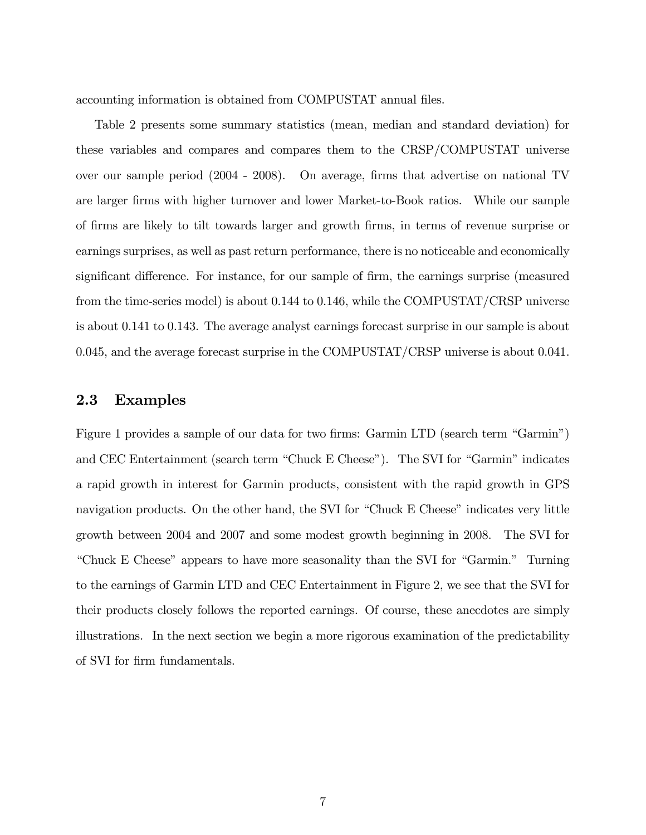accounting information is obtained from COMPUSTAT annual files.

Table 2 presents some summary statistics (mean, median and standard deviation) for these variables and compares and compares them to the CRSP/COMPUSTAT universe over our sample period (2004 - 2008). On average, Örms that advertise on national TV are larger Örms with higher turnover and lower Market-to-Book ratios. While our sample of Örms are likely to tilt towards larger and growth Örms, in terms of revenue surprise or earnings surprises, as well as past return performance, there is no noticeable and economically significant difference. For instance, for our sample of firm, the earnings surprise (measured from the time-series model) is about 0.144 to 0.146, while the COMPUSTAT/CRSP universe is about 0.141 to 0.143. The average analyst earnings forecast surprise in our sample is about 0.045, and the average forecast surprise in the COMPUSTAT/CRSP universe is about 0.041.

#### 2.3 Examples

Figure 1 provides a sample of our data for two firms: Garmin LTD (search term "Garmin") and CEC Entertainment (search term "Chuck E Cheese"). The SVI for "Garmin" indicates a rapid growth in interest for Garmin products, consistent with the rapid growth in GPS navigation products. On the other hand, the SVI for "Chuck E Cheese" indicates very little growth between 2004 and 2007 and some modest growth beginning in 2008. The SVI for ìChuck E Cheeseî appears to have more seasonality than the SVI for ìGarmin.î Turning to the earnings of Garmin LTD and CEC Entertainment in Figure 2, we see that the SVI for their products closely follows the reported earnings. Of course, these anecdotes are simply illustrations. In the next section we begin a more rigorous examination of the predictability of SVI for firm fundamentals.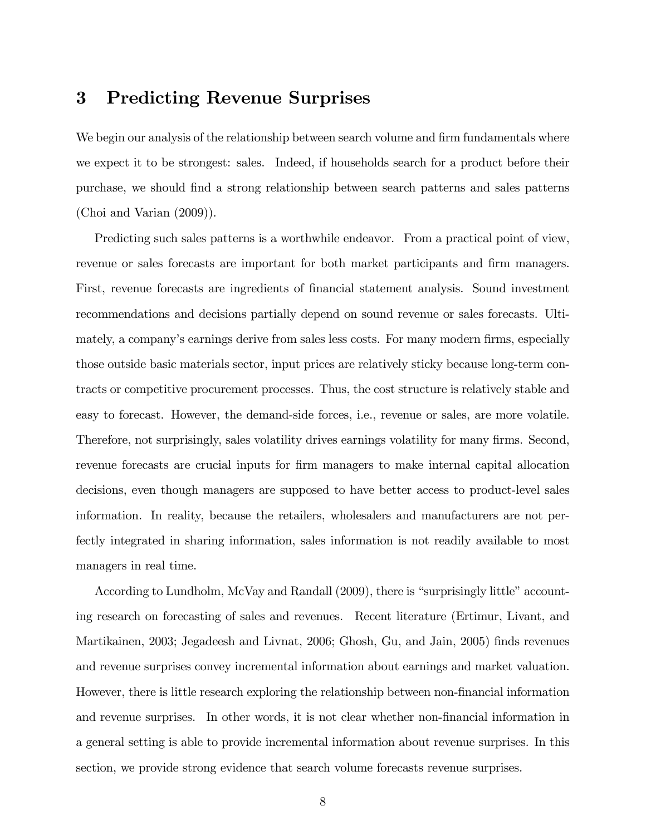## 3 Predicting Revenue Surprises

We begin our analysis of the relationship between search volume and firm fundamentals where we expect it to be strongest: sales. Indeed, if households search for a product before their purchase, we should Önd a strong relationship between search patterns and sales patterns (Choi and Varian (2009)).

Predicting such sales patterns is a worthwhile endeavor. From a practical point of view, revenue or sales forecasts are important for both market participants and firm managers. First, revenue forecasts are ingredients of financial statement analysis. Sound investment recommendations and decisions partially depend on sound revenue or sales forecasts. Ultimately, a company's earnings derive from sales less costs. For many modern firms, especially those outside basic materials sector, input prices are relatively sticky because long-term contracts or competitive procurement processes. Thus, the cost structure is relatively stable and easy to forecast. However, the demand-side forces, i.e., revenue or sales, are more volatile. Therefore, not surprisingly, sales volatility drives earnings volatility for many firms. Second, revenue forecasts are crucial inputs for firm managers to make internal capital allocation decisions, even though managers are supposed to have better access to product-level sales information. In reality, because the retailers, wholesalers and manufacturers are not perfectly integrated in sharing information, sales information is not readily available to most managers in real time.

According to Lundholm, McVay and Randall (2009), there is "surprisingly little" accounting research on forecasting of sales and revenues. Recent literature (Ertimur, Livant, and Martikainen, 2003; Jegadeesh and Livnat, 2006; Ghosh, Gu, and Jain, 2005) finds revenues and revenue surprises convey incremental information about earnings and market valuation. However, there is little research exploring the relationship between non-financial information and revenue surprises. In other words, it is not clear whether non-financial information in a general setting is able to provide incremental information about revenue surprises. In this section, we provide strong evidence that search volume forecasts revenue surprises.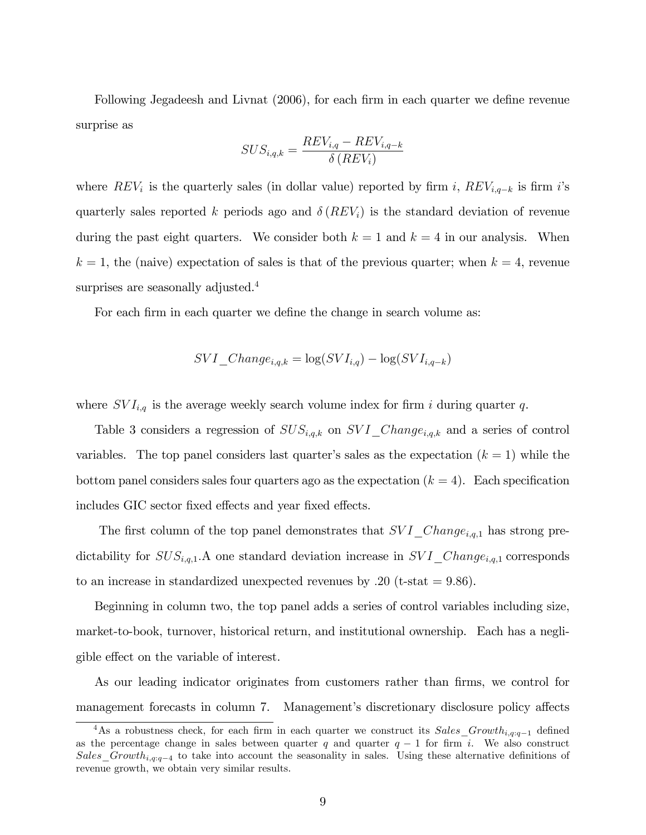Following Jegadeesh and Livnat (2006), for each firm in each quarter we define revenue surprise as

$$
SUS_{i,q,k} = \frac{REV_{i,q} - REV_{i,q-k}}{\delta(REV_i)}
$$

where  $REV_i$  is the quarterly sales (in dollar value) reported by firm i,  $REV_{i,q-k}$  is firm i's quarterly sales reported k periods ago and  $\delta (REV_i)$  is the standard deviation of revenue during the past eight quarters. We consider both  $k = 1$  and  $k = 4$  in our analysis. When  $k = 1$ , the (naive) expectation of sales is that of the previous quarter; when  $k = 4$ , revenue surprises are seasonally adjusted.<sup>4</sup>

For each firm in each quarter we define the change in search volume as:

$$
SVI\_Change_{i,q,k} = \log(SVI_{i,q}) - \log(SVI_{i,q-k})
$$

where  $SVI_{i,q}$  is the average weekly search volume index for firm i during quarter q.

Table 3 considers a regression of  $SUS_{i,q,k}$  on  $SVI\_Change_{i,q,k}$  and a series of control variables. The top panel considers last quarter's sales as the expectation  $(k = 1)$  while the bottom panel considers sales four quarters ago as the expectation  $(k = 4)$ . Each specification includes GIC sector fixed effects and year fixed effects.

The first column of the top panel demonstrates that  $SVI\_Change_{i,q,1}$  has strong predictability for  $SUS_{i,q,1}$ . A one standard deviation increase in  $SVI\_Change_{i,q,1}$  corresponds to an increase in standardized unexpected revenues by  $.20$  (t-stat  $= 9.86$ ).

Beginning in column two, the top panel adds a series of control variables including size, market-to-book, turnover, historical return, and institutional ownership. Each has a negligible effect on the variable of interest.

As our leading indicator originates from customers rather than firms, we control for management forecasts in column 7. Management's discretionary disclosure policy affects

<sup>&</sup>lt;sup>4</sup>As a robustness check, for each firm in each quarter we construct its  $Sales\_Growth_{i,q:q-1}$  defined as the percentage change in sales between quarter q and quarter  $q-1$  for firm i. We also construct Sales\_Growth<sub>i</sub>, $q_{q-4}$  to take into account the seasonality in sales. Using these alternative definitions of revenue growth, we obtain very similar results.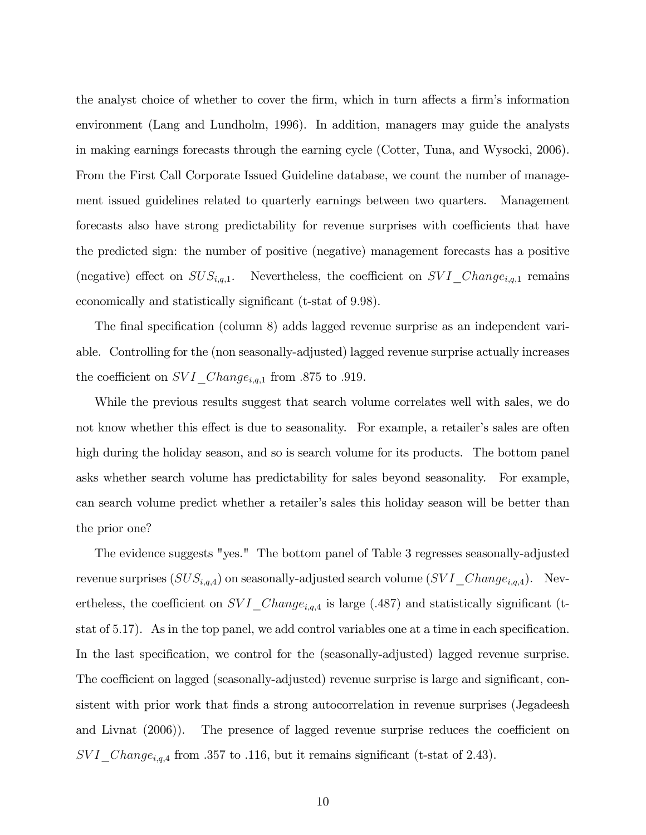the analyst choice of whether to cover the firm, which in turn affects a firm's information environment (Lang and Lundholm, 1996). In addition, managers may guide the analysts in making earnings forecasts through the earning cycle (Cotter, Tuna, and Wysocki, 2006). From the First Call Corporate Issued Guideline database, we count the number of management issued guidelines related to quarterly earnings between two quarters. Management forecasts also have strong predictability for revenue surprises with coefficients that have the predicted sign: the number of positive (negative) management forecasts has a positive (negative) effect on  $SUS_{i,q,1}$ . Nevertheless, the coefficient on  $SVI\_Change_{i,q,1}$  remains economically and statistically significant (t-stat of 9.98).

The final specification (column 8) adds lagged revenue surprise as an independent variable. Controlling for the (non seasonally-adjusted) lagged revenue surprise actually increases the coefficient on  $SVI\_Change_{i,q,1}$  from .875 to .919.

While the previous results suggest that search volume correlates well with sales, we do not know whether this effect is due to seasonality. For example, a retailer's sales are often high during the holiday season, and so is search volume for its products. The bottom panel asks whether search volume has predictability for sales beyond seasonality. For example, can search volume predict whether a retailer's sales this holiday season will be better than the prior one?

The evidence suggests "yes." The bottom panel of Table 3 regresses seasonally-adjusted revenue surprises  $(SUS_{i,q,4})$  on seasonally-adjusted search volume  $(SVI\_Change_{i,q,4})$ . Nevertheless, the coefficient on  $SVI\_Change_{i,q,4}$  is large (.487) and statistically significant (tstat of  $5.17$ ). As in the top panel, we add control variables one at a time in each specification. In the last specification, we control for the (seasonally-adjusted) lagged revenue surprise. The coefficient on lagged (seasonally-adjusted) revenue surprise is large and significant, consistent with prior work that finds a strong autocorrelation in revenue surprises (Jegadeesh and Livnat  $(2006)$ . The presence of lagged revenue surprise reduces the coefficient on  $SVI\_Change_{i,q,4}$  from .357 to .116, but it remains significant (t-stat of 2.43).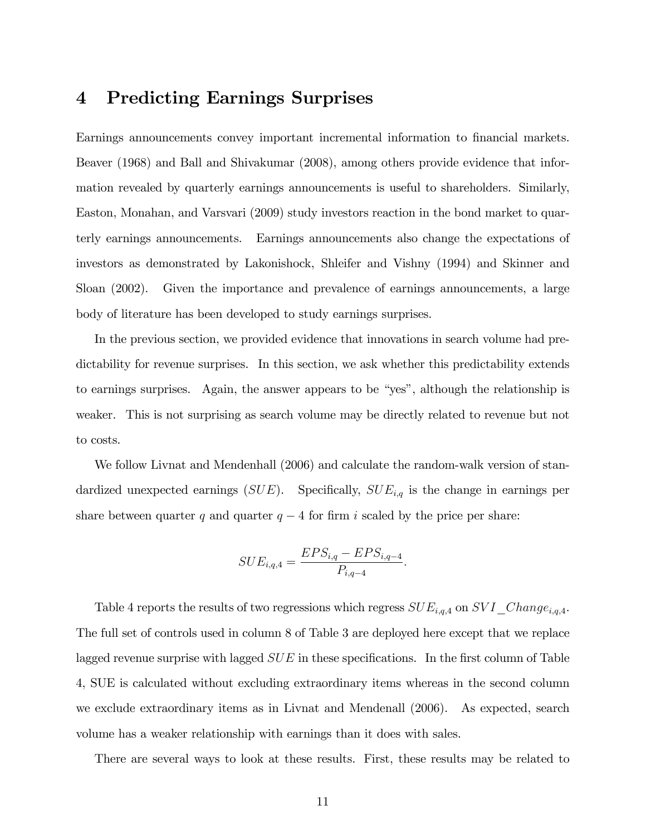## 4 Predicting Earnings Surprises

Earnings announcements convey important incremental information to financial markets. Beaver (1968) and Ball and Shivakumar (2008), among others provide evidence that information revealed by quarterly earnings announcements is useful to shareholders. Similarly, Easton, Monahan, and Varsvari (2009) study investors reaction in the bond market to quarterly earnings announcements. Earnings announcements also change the expectations of investors as demonstrated by Lakonishock, Shleifer and Vishny (1994) and Skinner and Sloan (2002). Given the importance and prevalence of earnings announcements, a large body of literature has been developed to study earnings surprises.

In the previous section, we provided evidence that innovations in search volume had predictability for revenue surprises. In this section, we ask whether this predictability extends to earnings surprises. Again, the answer appears to be "yes", although the relationship is weaker. This is not surprising as search volume may be directly related to revenue but not to costs.

We follow Livnat and Mendenhall (2006) and calculate the random-walk version of standardized unexpected earnings  $(SUE)$ . Specifically,  $SUE_{i,q}$  is the change in earnings per share between quarter q and quarter  $q - 4$  for firm i scaled by the price per share:

$$
SUE_{i,q,4} = \frac{EPS_{i,q} - EPS_{i,q-4}}{P_{i,q-4}}.
$$

Table 4 reports the results of two regressions which regress  $SUE_{i,q,4}$  on  $SVI\_Change_{i,q,4}$ . The full set of controls used in column 8 of Table 3 are deployed here except that we replace lagged revenue surprise with lagged  $SUE$  in these specifications. In the first column of Table 4, SUE is calculated without excluding extraordinary items whereas in the second column we exclude extraordinary items as in Livnat and Mendenall (2006). As expected, search volume has a weaker relationship with earnings than it does with sales.

There are several ways to look at these results. First, these results may be related to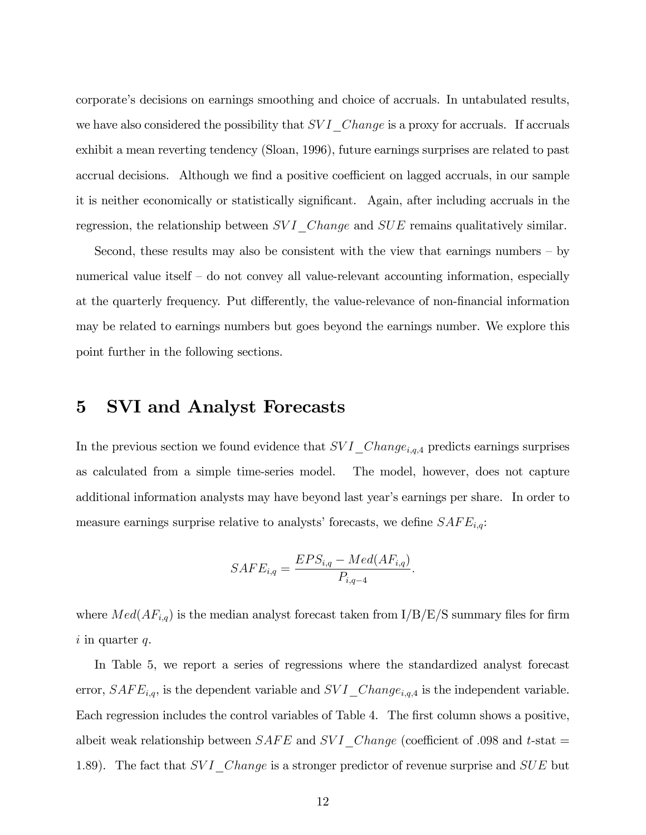corporateís decisions on earnings smoothing and choice of accruals. In untabulated results, we have also considered the possibility that  $SVI\_Change$  is a proxy for accruals. If accruals exhibit a mean reverting tendency (Sloan, 1996), future earnings surprises are related to past accrual decisions. Although we find a positive coefficient on lagged accruals, in our sample it is neither economically or statistically significant. Again, after including accruals in the regression, the relationship between  $SVI\_Change$  and  $SUE$  remains qualitatively similar.

Second, these results may also be consistent with the view that earnings numbers  $-$  by numerical value itself  $-\text{ do not convey all value-relevant accounting information, especially}$ at the quarterly frequency. Put differently, the value-relevance of non-financial information may be related to earnings numbers but goes beyond the earnings number. We explore this point further in the following sections.

### 5 SVI and Analyst Forecasts

In the previous section we found evidence that  $SVI\_Change_{i,q,4}$  predicts earnings surprises as calculated from a simple time-series model. The model, however, does not capture additional information analysts may have beyond last year's earnings per share. In order to measure earnings surprise relative to analysts' forecasts, we define  $SAFE_{i,q}$ :

$$
SAFE_{i,q} = \frac{EPS_{i,q} - Med(AF_{i,q})}{P_{i,q-4}}.
$$

where  $Med(AF_{i,q})$  is the median analyst forecast taken from  $I/B/E/S$  summary files for firm  $i$  in quarter q.

In Table 5, we report a series of regressions where the standardized analyst forecast error,  $SAFE_{i,q}$ , is the dependent variable and  $SVI\_Change_{i,q,4}$  is the independent variable. Each regression includes the control variables of Table 4. The first column shows a positive, albeit weak relationship between  $SAFE$  and  $SVI\_Change$  (coefficient of .098 and t-stat = 1.89). The fact that  $SVI$  Change is a stronger predictor of revenue surprise and  $SUE$  but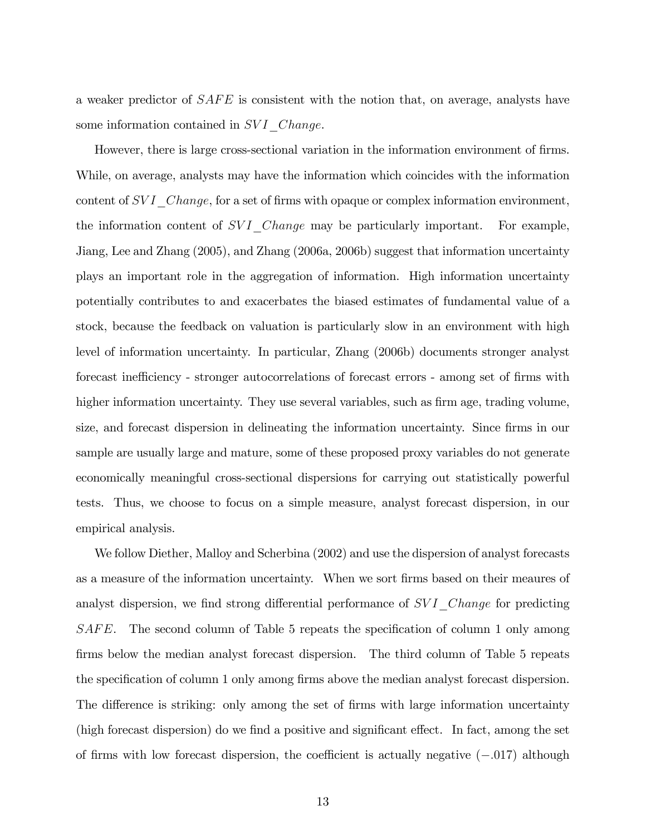a weaker predictor of  $SAFE$  is consistent with the notion that, on average, analysts have some information contained in  $SVI\_Change$ .

However, there is large cross-sectional variation in the information environment of firms. While, on average, analysts may have the information which coincides with the information content of  $SVI\_Change$ , for a set of firms with opaque or complex information environment, the information content of  $SVI\_Change$  may be particularly important. For example, Jiang, Lee and Zhang (2005), and Zhang (2006a, 2006b) suggest that information uncertainty plays an important role in the aggregation of information. High information uncertainty potentially contributes to and exacerbates the biased estimates of fundamental value of a stock, because the feedback on valuation is particularly slow in an environment with high level of information uncertainty. In particular, Zhang (2006b) documents stronger analyst forecast inefficiency - stronger autocorrelations of forecast errors - among set of firms with higher information uncertainty. They use several variables, such as firm age, trading volume, size, and forecast dispersion in delineating the information uncertainty. Since firms in our sample are usually large and mature, some of these proposed proxy variables do not generate economically meaningful cross-sectional dispersions for carrying out statistically powerful tests. Thus, we choose to focus on a simple measure, analyst forecast dispersion, in our empirical analysis.

We follow Diether, Malloy and Scherbina (2002) and use the dispersion of analyst forecasts as a measure of the information uncertainty. When we sort firms based on their meaures of analyst dispersion, we find strong differential performance of  $SVI\_Change$  for predicting  $SAFE$ . The second column of Table 5 repeats the specification of column 1 only among firms below the median analyst forecast dispersion. The third column of Table 5 repeats the specification of column 1 only among firms above the median analyst forecast dispersion. The difference is striking: only among the set of firms with large information uncertainty  $(high forecast dispersion)$  do we find a positive and significant effect. In fact, among the set of firms with low forecast dispersion, the coefficient is actually negative  $(-.017)$  although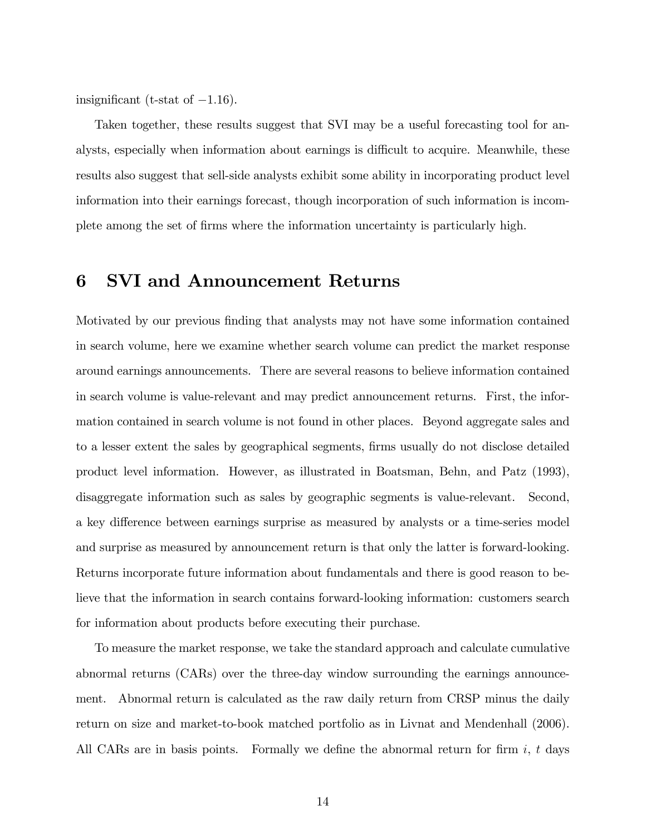insignificant (t-stat of  $-1.16$ ).

Taken together, these results suggest that SVI may be a useful forecasting tool for analysts, especially when information about earnings is difficult to acquire. Meanwhile, these results also suggest that sell-side analysts exhibit some ability in incorporating product level information into their earnings forecast, though incorporation of such information is incomplete among the set of Örms where the information uncertainty is particularly high.

### 6 SVI and Announcement Returns

Motivated by our previous finding that analysts may not have some information contained in search volume, here we examine whether search volume can predict the market response around earnings announcements. There are several reasons to believe information contained in search volume is value-relevant and may predict announcement returns. First, the information contained in search volume is not found in other places. Beyond aggregate sales and to a lesser extent the sales by geographical segments, firms usually do not disclose detailed product level information. However, as illustrated in Boatsman, Behn, and Patz (1993), disaggregate information such as sales by geographic segments is value-relevant. Second, a key difference between earnings surprise as measured by analysts or a time-series model and surprise as measured by announcement return is that only the latter is forward-looking. Returns incorporate future information about fundamentals and there is good reason to believe that the information in search contains forward-looking information: customers search for information about products before executing their purchase.

To measure the market response, we take the standard approach and calculate cumulative abnormal returns (CARs) over the three-day window surrounding the earnings announcement. Abnormal return is calculated as the raw daily return from CRSP minus the daily return on size and market-to-book matched portfolio as in Livnat and Mendenhall (2006). All CARs are in basis points. Formally we define the abnormal return for firm  $i, t$  days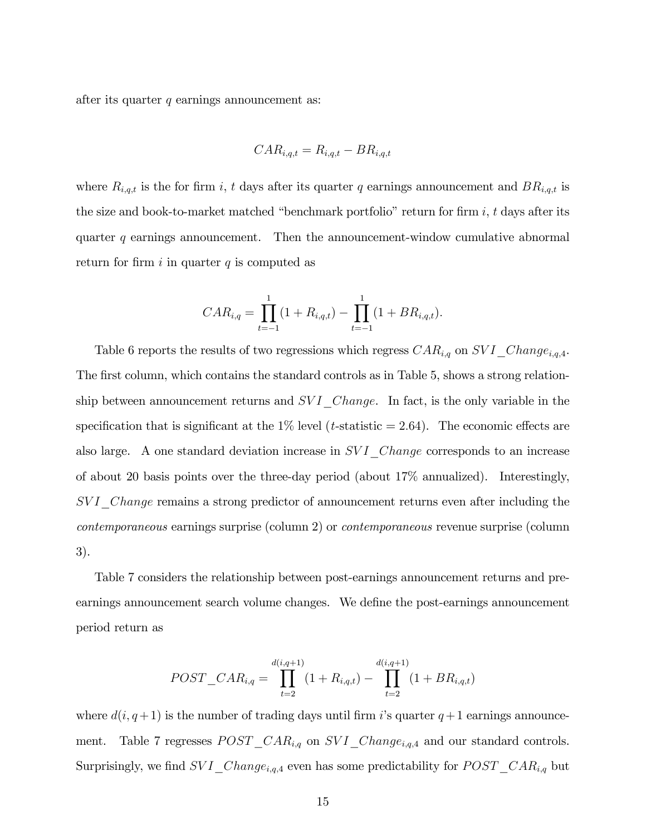after its quarter  $q$  earnings announcement as:

$$
CAR_{i,q,t} = R_{i,q,t} - BR_{i,q,t}
$$

where  $R_{i,q,t}$  is the for firm i, t days after its quarter q earnings announcement and  $BR_{i,q,t}$  is the size and book-to-market matched "benchmark portfolio" return for firm  $i, t$  days after its quarter  $q$  earnings announcement. Then the announcement-window cumulative abnormal return for firm  $i$  in quarter  $q$  is computed as

$$
CAR_{i,q} = \prod_{t=-1}^{1} (1 + R_{i,q,t}) - \prod_{t=-1}^{1} (1 + BR_{i,q,t}).
$$

Table 6 reports the results of two regressions which regress  $CAR_{i,q}$  on  $SVI\_Change_{i,q,4}$ . The first column, which contains the standard controls as in Table 5, shows a strong relationship between announcement returns and  $SVI$  Change. In fact, is the only variable in the specification that is significant at the  $1\%$  level (*t*-statistic = 2.64). The economic effects are also large. A one standard deviation increase in  $SVI$ <sub>Change</sub> corresponds to an increase of about 20 basis points over the three-day period (about 17% annualized). Interestingly, SVI Change remains a strong predictor of announcement returns even after including the contemporaneous earnings surprise (column 2) or contemporaneous revenue surprise (column 3).

Table 7 considers the relationship between post-earnings announcement returns and preearnings announcement search volume changes. We define the post-earnings announcement period return as

$$
POST\_CAR_{i,q} = \prod_{t=2}^{d(i,q+1)} (1 + R_{i,q,t}) - \prod_{t=2}^{d(i,q+1)} (1 + BR_{i,q,t})
$$

where  $d(i, q+1)$  is the number of trading days until firm i's quarter  $q+1$  earnings announcement. Table 7 regresses  $POST\_CAR_{i,q}$  on  $SVI\_Change_{i,q,4}$  and our standard controls. Surprisingly, we find  $SVI\_Change_{i,q,4}$  even has some predictability for  $POST\_CAR_{i,q}$  but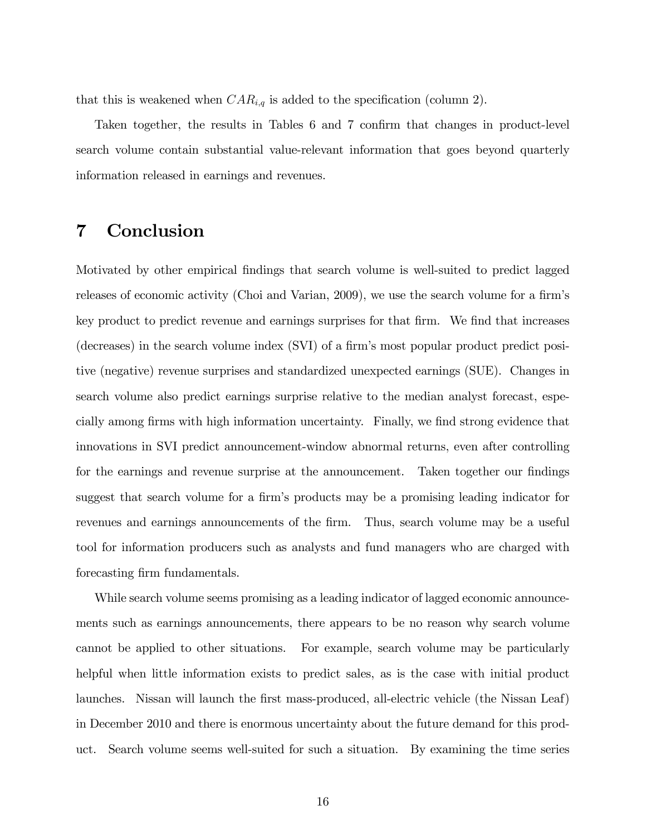that this is weakened when  $CAR_{i,q}$  is added to the specification (column 2).

Taken together, the results in Tables 6 and 7 confirm that changes in product-level search volume contain substantial value-relevant information that goes beyond quarterly information released in earnings and revenues.

## 7 Conclusion

Motivated by other empirical Öndings that search volume is well-suited to predict lagged releases of economic activity (Choi and Varian, 2009), we use the search volume for a firm's key product to predict revenue and earnings surprises for that firm. We find that increases  $(\text{decreases})$  in the search volume index  $(SVI)$  of a firm's most popular product predict positive (negative) revenue surprises and standardized unexpected earnings (SUE). Changes in search volume also predict earnings surprise relative to the median analyst forecast, especially among firms with high information uncertainty. Finally, we find strong evidence that innovations in SVI predict announcement-window abnormal returns, even after controlling for the earnings and revenue surprise at the announcement. Taken together our findings suggest that search volume for a firm's products may be a promising leading indicator for revenues and earnings announcements of the firm. Thus, search volume may be a useful tool for information producers such as analysts and fund managers who are charged with forecasting firm fundamentals.

While search volume seems promising as a leading indicator of lagged economic announcements such as earnings announcements, there appears to be no reason why search volume cannot be applied to other situations. For example, search volume may be particularly helpful when little information exists to predict sales, as is the case with initial product launches. Nissan will launch the first mass-produced, all-electric vehicle (the Nissan Leaf) in December 2010 and there is enormous uncertainty about the future demand for this product. Search volume seems well-suited for such a situation. By examining the time series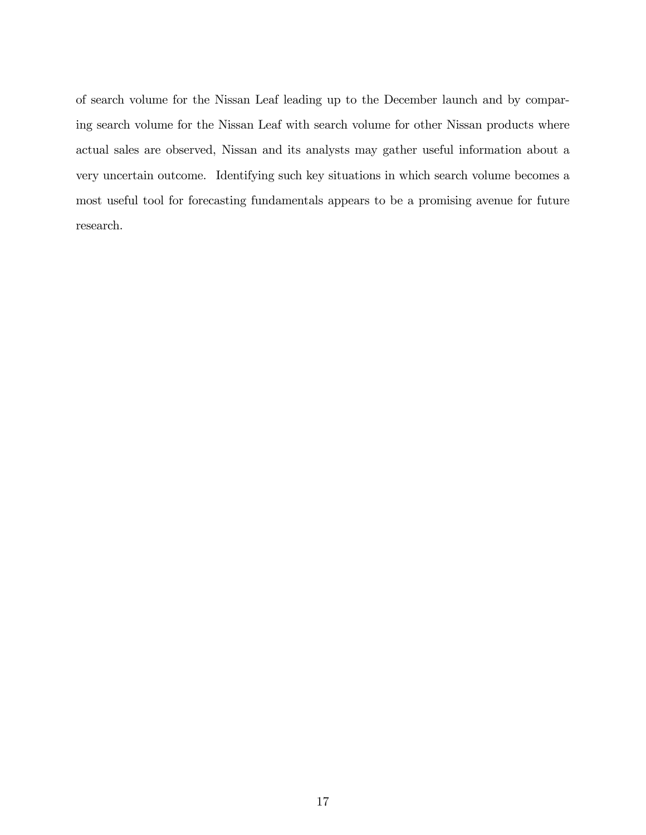of search volume for the Nissan Leaf leading up to the December launch and by comparing search volume for the Nissan Leaf with search volume for other Nissan products where actual sales are observed, Nissan and its analysts may gather useful information about a very uncertain outcome. Identifying such key situations in which search volume becomes a most useful tool for forecasting fundamentals appears to be a promising avenue for future research.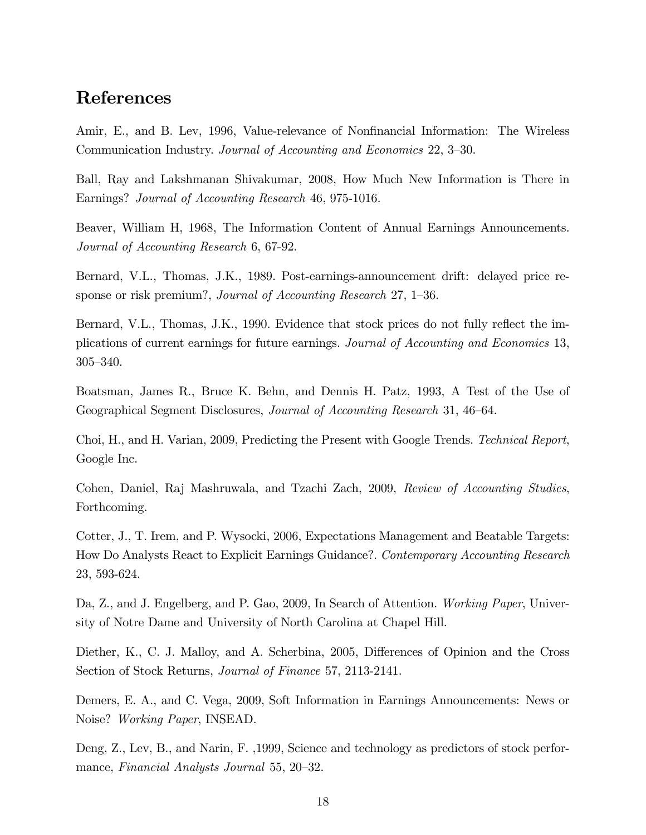### References

Amir, E., and B. Lev, 1996, Value-relevance of Nonfinancial Information: The Wireless Communication Industry. Journal of Accounting and Economics 22, 3-30.

Ball, Ray and Lakshmanan Shivakumar, 2008, How Much New Information is There in Earnings? Journal of Accounting Research 46, 975-1016.

Beaver, William H, 1968, The Information Content of Annual Earnings Announcements. Journal of Accounting Research 6, 67-92.

Bernard, V.L., Thomas, J.K., 1989. Post-earnings-announcement drift: delayed price response or risk premium?, Journal of Accounting Research  $27, 1-36$ .

Bernard, V.L., Thomas, J.K., 1990. Evidence that stock prices do not fully reflect the implications of current earnings for future earnings. Journal of Accounting and Economics 13, 305–340.

Boatsman, James R., Bruce K. Behn, and Dennis H. Patz, 1993, A Test of the Use of Geographical Segment Disclosures, *Journal of Accounting Research* 31, 46–64.

Choi, H., and H. Varian, 2009, Predicting the Present with Google Trends. Technical Report, Google Inc.

Cohen, Daniel, Raj Mashruwala, and Tzachi Zach, 2009, Review of Accounting Studies, Forthcoming.

Cotter, J., T. Irem, and P. Wysocki, 2006, Expectations Management and Beatable Targets: How Do Analysts React to Explicit Earnings Guidance?. Contemporary Accounting Research 23, 593-624.

Da, Z., and J. Engelberg, and P. Gao, 2009, In Search of Attention. Working Paper, University of Notre Dame and University of North Carolina at Chapel Hill.

Diether, K., C. J. Malloy, and A. Scherbina, 2005, Differences of Opinion and the Cross Section of Stock Returns, Journal of Finance 57, 2113-2141.

Demers, E. A., and C. Vega, 2009, Soft Information in Earnings Announcements: News or Noise? Working Paper, INSEAD.

Deng, Z., Lev, B., and Narin, F. ,1999, Science and technology as predictors of stock performance, Financial Analysts Journal 55, 20–32.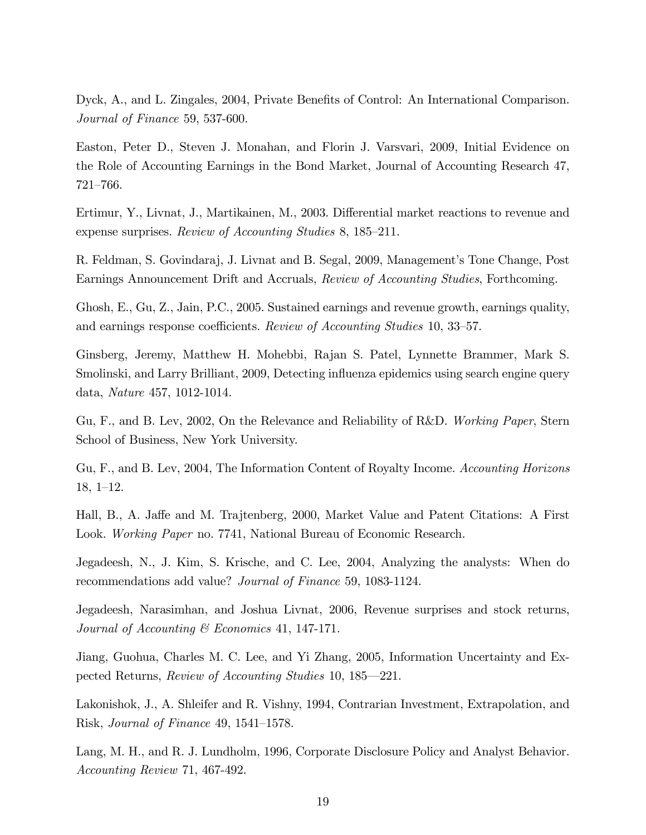Dyck, A., and L. Zingales, 2004, Private Benefits of Control: An International Comparison. Journal of Finance 59, 537-600.

Easton, Peter D., Steven J. Monahan, and Florin J. Varsvari, 2009, Initial Evidence on the Role of Accounting Earnings in the Bond Market, Journal of Accounting Research 47,  $721 - 766.$ 

Ertimur, Y., Livnat, J., Martikainen, M., 2003. Differential market reactions to revenue and expense surprises. Review of Accounting Studies 8,  $185-211$ .

R. Feldman, S. Govindaraj, J. Livnat and B. Segal, 2009, Management's Tone Change, Post Earnings Announcement Drift and Accruals, Review of Accounting Studies, Forthcoming.

Ghosh, E., Gu, Z., Jain, P.C., 2005. Sustained earnings and revenue growth, earnings quality, and earnings response coefficients. Review of Accounting Studies 10, 33–57.

Ginsberg, Jeremy, Matthew H. Mohebbi, Rajan S. Patel, Lynnette Brammer, Mark S. Smolinski, and Larry Brilliant, 2009, Detecting influenza epidemics using search engine query data, Nature 457, 1012-1014.

Gu, F., and B. Lev, 2002, On the Relevance and Reliability of R&D. Working Paper, Stern School of Business, New York University.

Gu, F., and B. Lev, 2004, The Information Content of Royalty Income. Accounting Horizons  $18, 1-12.$ 

Hall, B., A. Jaffe and M. Trajtenberg, 2000, Market Value and Patent Citations: A First Look. Working Paper no. 7741, National Bureau of Economic Research.

Jegadeesh, N., J. Kim, S. Krische, and C. Lee, 2004, Analyzing the analysts: When do recommendations add value? Journal of Finance 59, 1083-1124.

Jegadeesh, Narasimhan, and Joshua Livnat, 2006, Revenue surprises and stock returns, Journal of Accounting & Economics 41, 147-171.

Jiang, Guohua, Charles M. C. Lee, and Yi Zhang, 2005, Information Uncertainty and Expected Returns, *Review of Accounting Studies* 10, 185–221.

Lakonishok, J., A. Shleifer and R. Vishny, 1994, Contrarian Investment, Extrapolation, and Risk, Journal of Finance 49,  $1541-1578$ .

Lang, M. H., and R. J. Lundholm, 1996, Corporate Disclosure Policy and Analyst Behavior. Accounting Review 71, 467-492.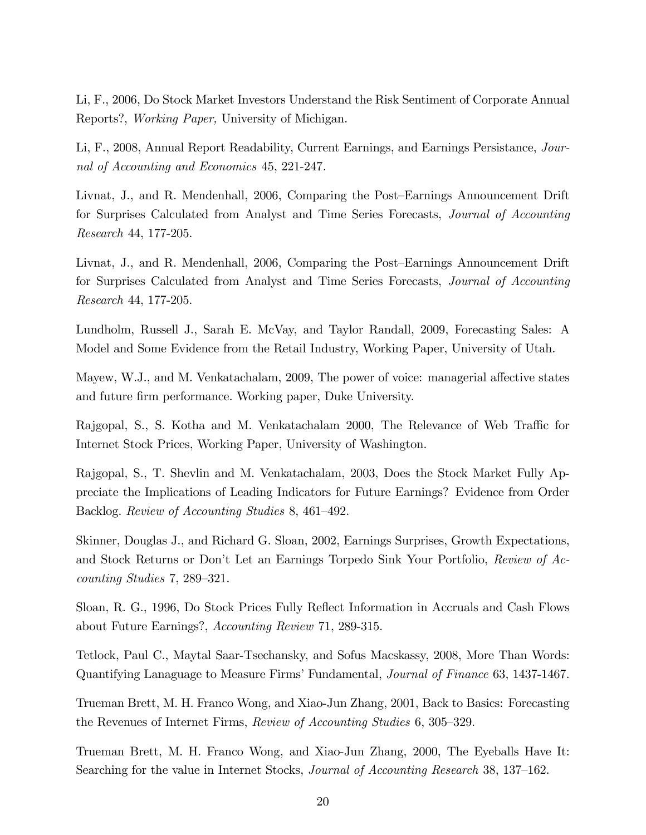Li, F., 2006, Do Stock Market Investors Understand the Risk Sentiment of Corporate Annual Reports?, Working Paper, University of Michigan.

Li, F., 2008, Annual Report Readability, Current Earnings, and Earnings Persistance, Journal of Accounting and Economics 45, 221-247.

Livnat, J., and R. Mendenhall, 2006, Comparing the Post–Earnings Announcement Drift for Surprises Calculated from Analyst and Time Series Forecasts, Journal of Accounting Research 44, 177-205.

Livnat, J., and R. Mendenhall, 2006, Comparing the Post–Earnings Announcement Drift for Surprises Calculated from Analyst and Time Series Forecasts, Journal of Accounting Research 44, 177-205.

Lundholm, Russell J., Sarah E. McVay, and Taylor Randall, 2009, Forecasting Sales: A Model and Some Evidence from the Retail Industry, Working Paper, University of Utah.

Mayew, W.J., and M. Venkatachalam, 2009, The power of voice: managerial affective states and future firm performance. Working paper, Duke University.

Rajgopal, S., S. Kotha and M. Venkatachalam 2000, The Relevance of Web Traffic for Internet Stock Prices, Working Paper, University of Washington.

Rajgopal, S., T. Shevlin and M. Venkatachalam, 2003, Does the Stock Market Fully Appreciate the Implications of Leading Indicators for Future Earnings? Evidence from Order Backlog. Review of Accounting Studies 8, 461–492.

Skinner, Douglas J., and Richard G. Sloan, 2002, Earnings Surprises, Growth Expectations, and Stock Returns or Donít Let an Earnings Torpedo Sink Your Portfolio, Review of Accounting Studies 7, 289–321.

Sloan, R. G., 1996, Do Stock Prices Fully Reflect Information in Accruals and Cash Flows about Future Earnings?, Accounting Review 71, 289-315.

Tetlock, Paul C., Maytal Saar-Tsechansky, and Sofus Macskassy, 2008, More Than Words: Quantifying Lanaguage to Measure Firms' Fundamental, *Journal of Finance* 63, 1437-1467.

Trueman Brett, M. H. Franco Wong, and Xiao-Jun Zhang, 2001, Back to Basics: Forecasting the Revenues of Internet Firms, Review of Accounting Studies 6, 305–329.

Trueman Brett, M. H. Franco Wong, and Xiao-Jun Zhang, 2000, The Eyeballs Have It: Searching for the value in Internet Stocks, *Journal of Accounting Research* 38, 137–162.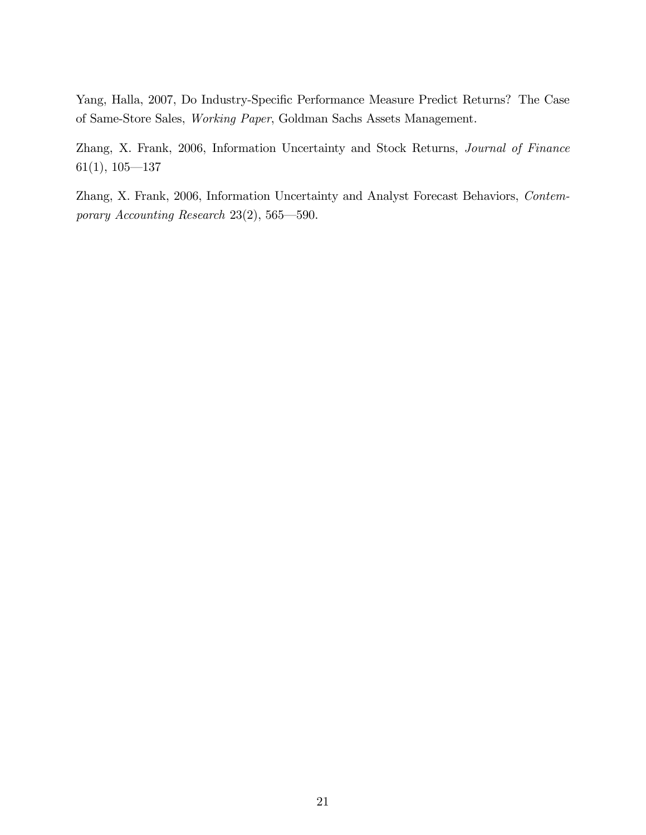Yang, Halla, 2007, Do Industry-Specific Performance Measure Predict Returns? The Case of Same-Store Sales, Working Paper, Goldman Sachs Assets Management.

Zhang, X. Frank, 2006, Information Uncertainty and Stock Returns, Journal of Finance 61(1),  $105 - 137$ 

Zhang, X. Frank, 2006, Information Uncertainty and Analyst Forecast Behaviors, Contemporary Accounting Research 23(2), 565–590.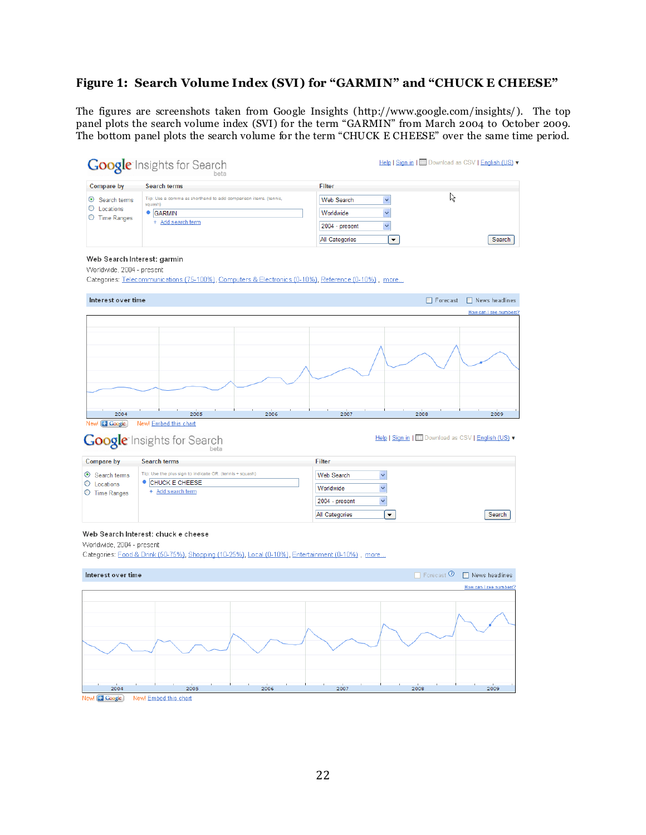### **Figure 1: Search Volume Index (SVI) for "GARMIN" and "CHUCK E CHEESE"**

The figures are screenshots taken from Google Insights (http://www.google.com/insights/). The top panel plots the search volume index (SVI) for the term "GARMIN" from March 2004 to October 2009. The bottom panel plots the search volume for the term "CHUCK E CHEESE" over the same time period.

| <b>Compare by</b>                                                                                                                                | <b>Search terms</b>                                                                                                               | <b>Filter</b>                               |                                                       |
|--------------------------------------------------------------------------------------------------------------------------------------------------|-----------------------------------------------------------------------------------------------------------------------------------|---------------------------------------------|-------------------------------------------------------|
|                                                                                                                                                  | Tip: Use a comma as shorthand to add comparison items. (tennis,                                                                   |                                             | R                                                     |
| Search terms<br>O<br>Locations                                                                                                                   | squash)                                                                                                                           | <b>Web Search</b><br>×                      |                                                       |
| O Time Ranges                                                                                                                                    | <b>• GARMIN</b><br>+ Add search term                                                                                              | v<br>Worldwide                              |                                                       |
|                                                                                                                                                  |                                                                                                                                   | 2004 - present<br>×                         |                                                       |
|                                                                                                                                                  |                                                                                                                                   | All Categories<br>$\blacktriangledown$      | Search                                                |
| Worldwide, 2004 - present                                                                                                                        | Web Search Interest: garmin<br>Categories: Telecommunications (75-100%), Computers & Electronics (0-10%), Reference (0-10%), more |                                             |                                                       |
| Interest over time                                                                                                                               |                                                                                                                                   |                                             | Forecast<br>News headlines                            |
|                                                                                                                                                  |                                                                                                                                   |                                             | How can I see numbers?                                |
|                                                                                                                                                  |                                                                                                                                   |                                             |                                                       |
|                                                                                                                                                  |                                                                                                                                   |                                             |                                                       |
|                                                                                                                                                  |                                                                                                                                   |                                             |                                                       |
|                                                                                                                                                  |                                                                                                                                   |                                             |                                                       |
|                                                                                                                                                  |                                                                                                                                   |                                             |                                                       |
|                                                                                                                                                  |                                                                                                                                   |                                             |                                                       |
|                                                                                                                                                  |                                                                                                                                   |                                             |                                                       |
|                                                                                                                                                  |                                                                                                                                   |                                             |                                                       |
|                                                                                                                                                  |                                                                                                                                   |                                             |                                                       |
| 2004                                                                                                                                             | 2005<br>2006<br>Newl Embed this chart                                                                                             | 2007                                        | 2008<br>2009                                          |
|                                                                                                                                                  | Google Insights for Search                                                                                                        |                                             | Help   Sign in       Download as CSV   English (US) v |
|                                                                                                                                                  | <b>Search terms</b>                                                                                                               | <b>Filter</b>                               |                                                       |
|                                                                                                                                                  | Tip: Use the plus sign to indicate OR. (tennis + squash)                                                                          | <b>Web Search</b><br>Y                      |                                                       |
|                                                                                                                                                  | • CHUCK E CHEESE                                                                                                                  | Worldwide<br>$\checkmark$                   |                                                       |
|                                                                                                                                                  | + Add search term                                                                                                                 |                                             |                                                       |
|                                                                                                                                                  |                                                                                                                                   | 2004 - present<br>×<br>$\blacktriangledown$ | Search                                                |
|                                                                                                                                                  | Web Search Interest: chuck e cheese                                                                                               | All Categories                              |                                                       |
|                                                                                                                                                  | Categories: Food & Drink (50-75%), Shopping (10-25%), Local (0-10%), Entertainment (0-10%), more                                  |                                             |                                                       |
|                                                                                                                                                  |                                                                                                                                   |                                             | $\Box$ Forecast $\odot$                               |
|                                                                                                                                                  |                                                                                                                                   |                                             | $\Box$ News headlines<br>How can I see numbers?       |
|                                                                                                                                                  |                                                                                                                                   |                                             |                                                       |
|                                                                                                                                                  |                                                                                                                                   |                                             |                                                       |
| New! <b>Google</b><br><b>Compare by</b><br>Search terms<br>$\circ$ Locations<br>O Time Ranges<br>Worldwide, 2004 - present<br>Interest over time |                                                                                                                                   |                                             |                                                       |
|                                                                                                                                                  |                                                                                                                                   |                                             |                                                       |
|                                                                                                                                                  |                                                                                                                                   |                                             |                                                       |
|                                                                                                                                                  |                                                                                                                                   |                                             |                                                       |
|                                                                                                                                                  |                                                                                                                                   |                                             |                                                       |
|                                                                                                                                                  |                                                                                                                                   |                                             |                                                       |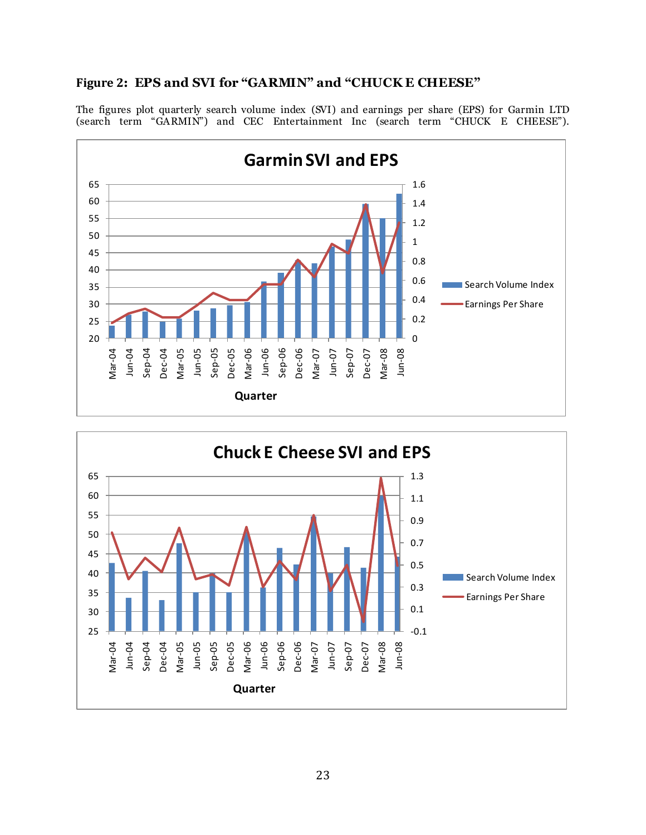### **Figure 2: EPS and SVI for "GARMIN" and "CHUCK E CHEESE"**

The figures plot quarterly search volume index (SVI) and earnings per share (EPS) for Garmin LTD (search term "GARMIN") and CEC Entertainment Inc (search term "CHUCK E CHEESE").



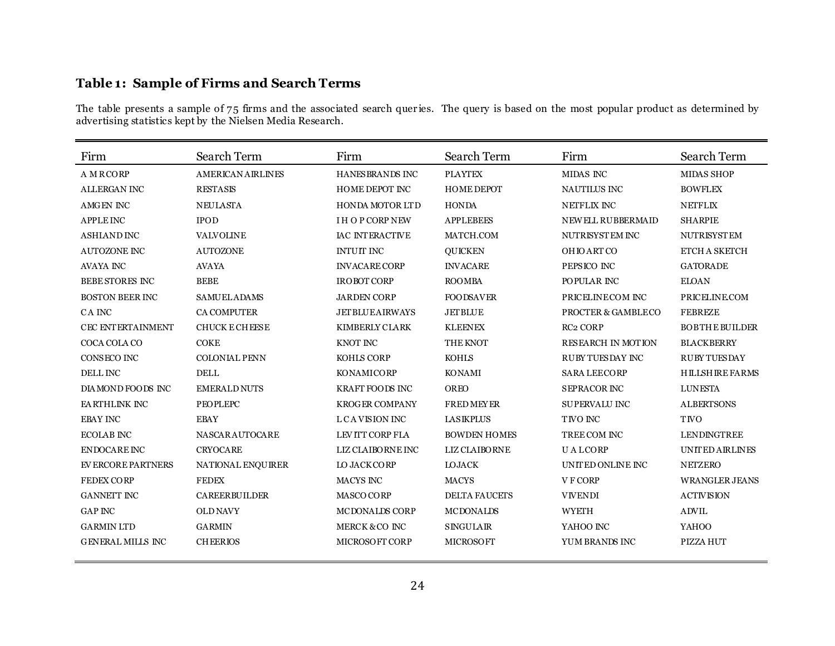## **Table 1: Sample of Firms and Search Terms**

The table presents a sample of 75 firms and the associated search queries. The query is based on the most popular product as determined by advertising statistics kept by the Nielsen Media Research.

| Firm                      | Search Term              | Firm                   | Search Term          | Firm                      | Search Term            |
|---------------------------|--------------------------|------------------------|----------------------|---------------------------|------------------------|
| A M RCORP                 | <b>AMERICAN AIRLINES</b> | HANES BRANDS INC       | <b>PLAYTEX</b>       | MIDAS INC                 | <b>MIDAS SHOP</b>      |
| ALLERGAN INC              | <b>RESTASIS</b>          | HOME DEPOT INC         | <b>HOME DEPOT</b>    | NAUTILUS INC              | <b>BOWFLEX</b>         |
| AMGEN INC                 | <b>NEULASTA</b>          | HONDA MOTOR LTD        | <b>HONDA</b>         | NETFLIX INC               | <b>NETFLIX</b>         |
| APPLE INC                 | <b>IPOD</b>              | <b>IHOP CORP NEW</b>   | <b>APPLEBEES</b>     | NEW ELL RUBBERMAID        | <b>SHARPIE</b>         |
| <b>ASHIAND INC</b>        | <b>VALVOLINE</b>         | IAC INTERACTIVE        | MATCH.COM            | NUTRISYSTEM INC           | <b>NUTRISYSTEM</b>     |
| AUTOZONE INC              | <b>AUTOZONE</b>          | <b>INTUIT INC</b>      | <b>OUICKEN</b>       | OH IO ART CO              | ETCH A SKETCH          |
|                           |                          |                        |                      |                           |                        |
| <b>AVAYA INC</b>          | <b>AVAYA</b>             | <b>INVACARE CORP</b>   | <b>INVACARE</b>      | PEPSICO INC               | <b>GATORADE</b>        |
| <b>BEBE STORES INC</b>    | <b>BEBE</b>              | <b>IROBOT CORP</b>     | <b>ROOMBA</b>        | POPULAR INC               | <b>ELOAN</b>           |
| <b>BOSTON BEER INC</b>    | <b>SAMUELADAMS</b>       | <b>JARDEN CORP</b>     | <b>FOODSAVER</b>     | PRICELINECOM INC          | PRICELINECOM           |
| <b>CAINC</b>              | <b>CA COMPUTER</b>       | <b>JETBLUEAIRWAYS</b>  | <b>JETBLUE</b>       | PROCTER & GAMBLECO        | <b>FEBREZE</b>         |
| CEC ENTERTAINMENT         | <b>CHUCK E CHEESE</b>    | KIMBERLY CLARK         | <b>KLEENEX</b>       | RC <sub>2</sub> CORP      | <b>BOBTHE BUILDER</b>  |
| COCA COLA CO              | <b>COKE</b>              | KNOT INC               | THE KNOT             | <b>RESEARCH IN MOTION</b> | <b>BLACKBERRY</b>      |
| CONSECO INC               | <b>COLONIAL PENN</b>     | KOHLS CORP             | <b>KOHLS</b>         | <b>RUBY TUESDAY INC</b>   | <b>RUBY TUESDAY</b>    |
| DELL INC                  | <b>DELL</b>              | KONAMICORP             | <b>KONAMI</b>        | <b>SARA LEECORP</b>       | <b>HILLSHIRE FARMS</b> |
| DIA MOND FOODS INC        | <b>EMERALD NUTS</b>      | <b>KRAFT FOODS INC</b> | <b>OREO</b>          | <b>SEPRACOR INC</b>       | <b>LUNESTA</b>         |
| EA RTHLINK INC            | <b>PEOPLEPC</b>          | <b>KROGER COMPANY</b>  | <b>FRED MEYER</b>    | SUPERVALU INC             | <b>ALBERTSONS</b>      |
| <b>EBAY INC</b>           | <b>EBAY</b>              | <b>LCAVISION INC</b>   | <b>LASIKPLUS</b>     | TIVO INC                  | TIVO                   |
| <b>ECOLAB INC</b>         | <b>NASCARAUTOCARE</b>    | LEV ITT CORP FLA       | <b>BOWDEN HOMES</b>  | TREE COM INC              | <b>LENDINGTREE</b>     |
| <b>ENDOCARE INC</b>       | <b>CRYOCARE</b>          | LIZ CLAIBORNE INC      | <b>LIZ CLAIBORNE</b> | <b>UALCORP</b>            | <b>UNITED AIRLINES</b> |
| <b>EV ERCORE PARTNERS</b> | NATIONAL ENQUIRER        | LO JACK CORP           | <b>LOJACK</b>        | UNITED ONLINE INC         | <b>NETZERO</b>         |
| <b>FEDEX CORP</b>         | <b>FEDEX</b>             | MACYS INC              | <b>MACYS</b>         | <b>VFCORP</b>             | <b>WRANGLER JEANS</b>  |
| <b>GANNETT INC</b>        | <b>CAREERBUILDER</b>     | MASCO CORP             | <b>DELTA FAUCETS</b> | <b>VIVENDI</b>            | <b>ACTIVISION</b>      |
| <b>GAP INC</b>            | <b>OLD NAVY</b>          | MCDONALDS CORP         | <b>MCDONALDS</b>     | <b>WYETH</b>              | <b>ADVIL</b>           |
| <b>GARMIN LTD</b>         | <b>GARMIN</b>            | MERCK & CO INC         | <b>SINGULAIR</b>     | YAHOO INC                 | YAHOO                  |
| <b>GENERAL MILLS INC</b>  | <b>CHEERIOS</b>          | MICROSOFT CORP         | <b>MICROSOFT</b>     | YUM BRANDS INC            | PIZZA HUT              |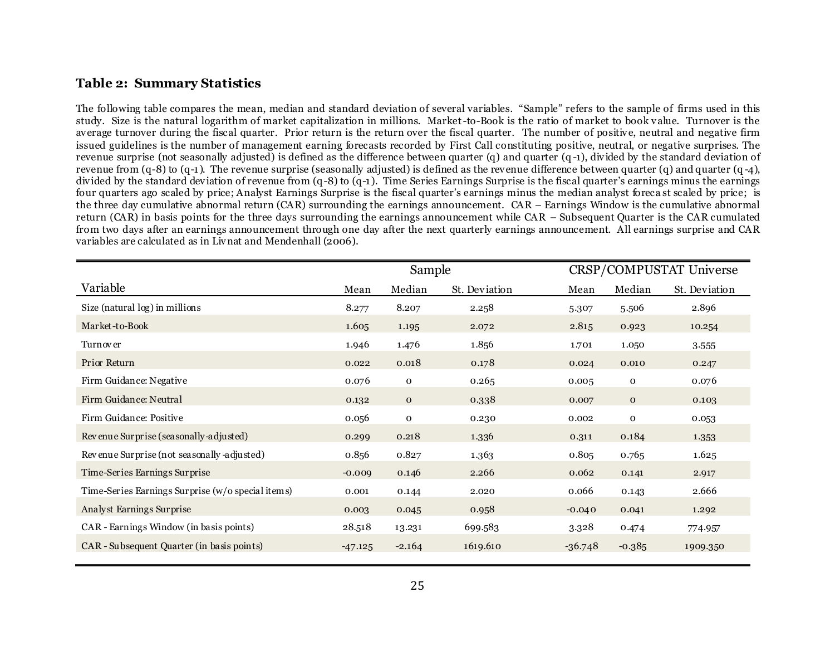#### **Table 2: Summary Statistics**

The following table compares the mean, median and standard deviation of several variables. "Sample" refers to the sample of firms used in this study. Size is the natural logarithm of market capitalization in millions. Market-to-Book is the ratio of market to book value. Turnover is the average turnover during the fiscal quarter. Prior return is the return over the fiscal quarter. The number of positive, neutral and negative firm issued guidelines is the number of management earning forecasts recorded by First Call constituting positive, neutral, or negative surprises. The revenue surprise (not seasonally adjusted) is defined as the difference between quarter (q) and quarter (q -1), divided by the standard deviation of revenue from  $(q-8)$  to  $(q-1)$ . The revenue surprise (seasonally adjusted) is defined as the revenue difference between quarter (q) and quarter (q-4), divided by the standard deviation of revenue from (q-8) to (q-1). Time Series Earnings Surprise is the fiscal quarter's earnings minus the earnings four quarters ago scaled by price; Analyst Earnings Surprise is the fiscal quarter's earnings minus the median analyst foreca st scaled by price; is the three day cumulative abnormal return (CAR) surrounding the earnings announcement. CAR – Earnings Window is the cumulative abnormal return (CAR) in basis points for the three days surrounding the earnings announcement while CAR – Subsequent Quarter is the CAR cumulated from two days after an earnings announcement through one day after the next quarterly earnings announcement. All earnings surprise and CAR variables are calculated as in Livnat and Mendenhall (2006).

|                                                   | Sample    |              |               |           | CRSP/COMPUSTAT Universe |               |  |
|---------------------------------------------------|-----------|--------------|---------------|-----------|-------------------------|---------------|--|
| Variable                                          | Mean      | Median       | St. Deviation | Mean      | Median                  | St. Deviation |  |
| Size (natural log) in millions                    | 8.277     | 8.207        | 2.258         | 5.307     | 5.506                   | 2.896         |  |
| Market-to-Book                                    | 1.605     | 1.195        | 2.072         | 2.815     | 0.923                   | 10.254        |  |
| Turnov er                                         | 1.946     | 1.476        | 1.856         | 1.701     | 1.050                   | 3.555         |  |
| Prior Return                                      | 0.022     | 0.018        | 0.178         | 0.024     | 0.010                   | 0.247         |  |
| Firm Guidance: Negative                           | 0.076     | 0            | 0.265         | 0.005     | $\mathbf 0$             | 0.076         |  |
| Firm Guidance: Neutral                            | 0.132     | $\mathbf{O}$ | 0.338         | 0.007     | $\mathbf 0$             | 0.103         |  |
| Firm Guidance: Positive                           | 0.056     | $\mathbf{O}$ | 0.230         | 0.002     | $\mathbf 0$             | 0.053         |  |
| Revenue Surprise (seasonally-adjusted)            | 0.299     | 0.218        | 1.336         | 0.311     | 0.184                   | 1.353         |  |
| Revenue Surprise (not seasonally -adjusted)       | 0.856     | 0.827        | 1.363         | 0.805     | 0.765                   | 1.625         |  |
| Time-Series Earnings Surprise                     | $-0.009$  | 0.146        | 2.266         | 0.062     | 0.141                   | 2.917         |  |
| Time-Series Earnings Surprise (w/o special items) | 0.001     | 0.144        | 2.020         | 0.066     | 0.143                   | 2.666         |  |
| Analyst Earnings Surprise                         | 0.003     | 0.045        | 0.958         | $-0.040$  | 0.041                   | 1.292         |  |
| CAR - Earnings Window (in basis points)           | 28.518    | 13.231       | 699.583       | 3.328     | 0.474                   | 774.957       |  |
| CAR - Subsequent Quarter (in basis points)        | $-47.125$ | $-2.164$     | 1619.610      | $-36.748$ | $-0.385$                | 1909.350      |  |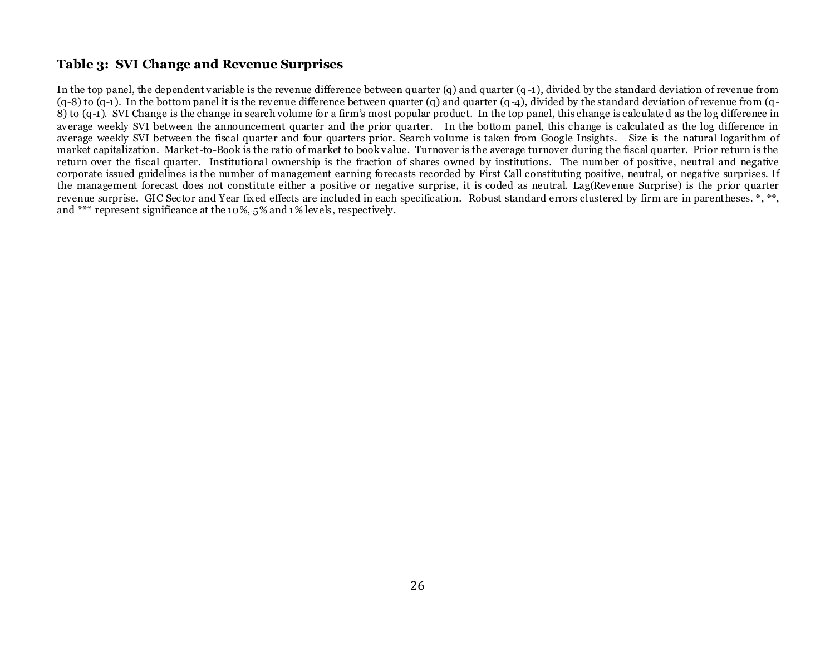### **Table 3: SVI Change and Revenue Surprises**

In the top panel, the dependent variable is the revenue difference between quarter (q) and quarter (q -1), divided by the standard deviation of revenue from  $(q-8)$  to  $(q-1)$ . In the bottom panel it is the revenue difference between quarter  $(q)$  and quarter  $(q-4)$ , divided by the standard deviation of revenue from  $(q-8)$ 8) to (q-1). SVI Change is the change in search volume for a firm's most popular product. In the top panel, this change is calculate d as the log difference in average weekly SVI between the announcement quarter and the prior quarter. In the bottom panel, this change is calculated as the log difference in average weekly SVI between the fiscal quarter and four quarters prior. Search volume is taken from Google Insights. Size is the natural logarithm of market capitalization. Market-to-Book is the ratio of market to book value. Turnover is the average turnover during the fiscal quarter. Prior return is the return over the fiscal quarter. Institutional ownership is the fraction of shares owned by institutions. The number of positive, neutral and negative corporate issued guidelines is the number of management earning forecasts recorded by First Call constituting positive, neutral, or negative surprises. If the management forecast does not constitute either a positive or negative surprise, it is coded as neutral. Lag(Revenue Surprise) is the prior quarter revenue surprise. GIC Sector and Year fixed effects are included in each specification. Robust standard errors clustered by firm are in parentheses. \*, \*\*, and \*\*\* represent significance at the 10%, 5% and 1% levels, respectively.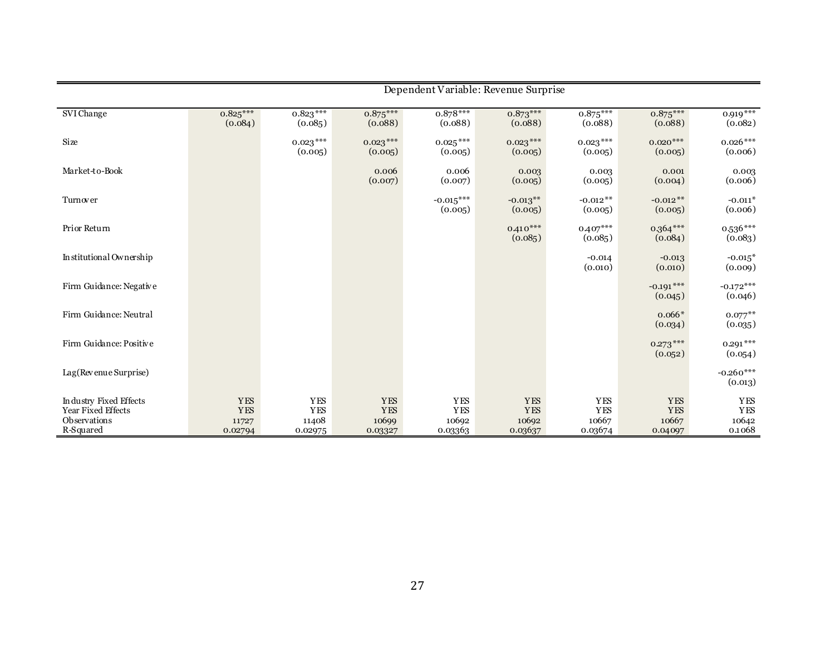| SVI Change                                                                        | $0.825***$<br>(0.084)          | $0.823***$<br>(0.085)                        | $0.875***$<br>(0.088)                        | $0.878***$<br>(0.088)                        | $0.873***$<br>(0.088)                        | $0.875***$<br>(0.088)                        | $0.875***$<br>(0.088)                        | $0.919***$<br>(0.082)         |
|-----------------------------------------------------------------------------------|--------------------------------|----------------------------------------------|----------------------------------------------|----------------------------------------------|----------------------------------------------|----------------------------------------------|----------------------------------------------|-------------------------------|
| Size                                                                              |                                | $0.023***$<br>(0.005)                        | $0.023***$<br>(0.005)                        | $0.025***$<br>(0.005)                        | $0.023***$<br>(0.005)                        | $0.023***$<br>(0.005)                        | $0.020***$<br>(0.005)                        | $0.026***$<br>(0.006)         |
| Market-to-Book                                                                    |                                |                                              | 0.006<br>(0.007)                             | 0.006<br>(0.007)                             | 0.003<br>(0.005)                             | 0.003<br>(0.005)                             | 0.001<br>(0.004)                             | 0.003<br>(0.006)              |
| Turnover                                                                          |                                |                                              |                                              | $-0.015***$<br>(0.005)                       | $-0.013**$<br>(0.005)                        | $-0.012**$<br>(0.005)                        | $-0.012**$<br>(0.005)                        | $-0.011*$<br>(0.006)          |
| Prior Return                                                                      |                                |                                              |                                              |                                              | $0.410***$<br>(0.085)                        | $0.407***$<br>(0.085)                        | 0.364***<br>(0.084)                          | $0.536***$<br>(0.083)         |
| In stitutional Ownership                                                          |                                |                                              |                                              |                                              |                                              | $-0.014$<br>(0.010)                          | $-0.013$<br>(0.010)                          | $-0.015*$<br>(0.009)          |
| Firm Guidance: Negative                                                           |                                |                                              |                                              |                                              |                                              |                                              | $-0.191***$<br>(0.045)                       | $-0.172***$<br>(0.046)        |
| Firm Guidance: Neutral                                                            |                                |                                              |                                              |                                              |                                              |                                              | $0.066*$<br>(0.034)                          | $0.077***$<br>(0.035)         |
| Firm Guidance: Positive                                                           |                                |                                              |                                              |                                              |                                              |                                              | $0.273***$<br>(0.052)                        | $0.291***$<br>(0.054)         |
| Lag(Revenue Surprise)                                                             |                                |                                              |                                              |                                              |                                              |                                              |                                              | $-0.260***$<br>(0.013)        |
| In dustry Fixed Effects<br>Year Fixed Effects<br><b>Observations</b><br>R-Squared | YES<br>YES<br>11727<br>0.02794 | <b>YES</b><br><b>YES</b><br>11408<br>0.02975 | <b>YES</b><br><b>YES</b><br>10699<br>0.03327 | <b>YES</b><br><b>YES</b><br>10692<br>0.03363 | <b>YES</b><br><b>YES</b><br>10692<br>0.03637 | <b>YES</b><br><b>YES</b><br>10667<br>0.03674 | <b>YES</b><br><b>YES</b><br>10667<br>0.04097 | YES<br>YES<br>10642<br>0.1068 |

#### Dependent Variable: Revenue Surprise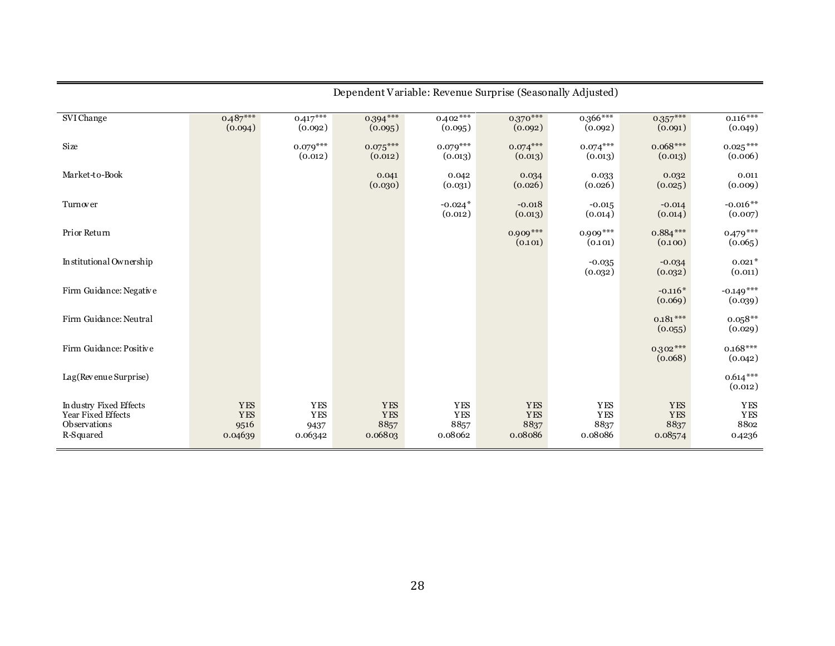| SVI Change               | 0.487***   | $0.417***$ | $0.394***$ | $0.402***$ | $0.370***$ | 0.366***   | $0.357***$ | $0.116***$  |
|--------------------------|------------|------------|------------|------------|------------|------------|------------|-------------|
|                          | (0.094)    | (0.092)    | (0.095)    | (0.095)    | (0.092)    | (0.092)    | (0.091)    | (0.049)     |
|                          |            |            |            |            |            |            |            |             |
| Size                     |            | $0.079***$ | $0.075***$ | $0.079***$ | $0.074***$ | $0.074***$ | $0.068***$ | $0.025***$  |
|                          |            | (0.012)    | (0.012)    | (0.013)    | (0.013)    | (0.013)    | (0.013)    | (0.006)     |
|                          |            |            |            |            |            |            |            |             |
| Market-to-Book           |            |            | 0.041      | 0.042      | 0.034      | 0.033      | 0.032      | 0.011       |
|                          |            |            | (0.030)    | (0.031)    | (0.026)    | (0.026)    | (0.025)    | (0.009)     |
| Turnover                 |            |            |            | $-0.024*$  | $-0.018$   | $-0.015$   | $-0.014$   | $-0.016**$  |
|                          |            |            |            | (0.012)    | (0.013)    | (0.014)    | (0.014)    | (0.007)     |
|                          |            |            |            |            |            |            |            |             |
| Prior Return             |            |            |            |            | $0.909***$ | $0.909***$ | $0.884***$ | $0.479***$  |
|                          |            |            |            |            | (0.101)    | (0.101)    | (0.100)    | (0.065)     |
|                          |            |            |            |            |            |            |            |             |
| In stitutional Ownership |            |            |            |            |            | $-0.035$   | $-0.034$   | $0.021*$    |
|                          |            |            |            |            |            | (0.032)    | (0.032)    | (0.011)     |
|                          |            |            |            |            |            |            |            |             |
| Firm Guidance: Negative  |            |            |            |            |            |            | $-0.116*$  | $-0.149***$ |
|                          |            |            |            |            |            |            | (0.069)    | (0.039)     |
|                          |            |            |            |            |            |            |            |             |
| Firm Guidance: Neutral   |            |            |            |            |            |            | $0.181***$ | $0.058**$   |
|                          |            |            |            |            |            |            | (0.055)    | (0.029)     |
| Firm Guidance: Positive  |            |            |            |            |            |            | $0.302***$ | $0.168***$  |
|                          |            |            |            |            |            |            | (0.068)    | (0.042)     |
|                          |            |            |            |            |            |            |            |             |
| Lag(Revenue Surprise)    |            |            |            |            |            |            |            | $0.614***$  |
|                          |            |            |            |            |            |            |            | (0.012)     |
|                          |            |            |            |            |            |            |            |             |
| In dustry Fixed Effects  | <b>YES</b> | <b>YES</b> | <b>YES</b> | YES        | <b>YES</b> | <b>YES</b> | <b>YES</b> | <b>YES</b>  |
| Year Fixed Effects       | <b>YES</b> | <b>YES</b> | <b>YES</b> | YES        | <b>YES</b> | <b>YES</b> | <b>YES</b> | <b>YES</b>  |
| Observations             | 9516       | 9437       | 8857       | 8857       | 8837       | 8837       | 8837       | 8802        |
| R-Squared                | 0.04639    | 0.06342    | 0.06803    | 0.08062    | 0.08086    | 0.08086    | 0.08574    | 0.4236      |
|                          |            |            |            |            |            |            |            |             |

Dependent Variable: Revenue Surprise (Seasonally Adjusted)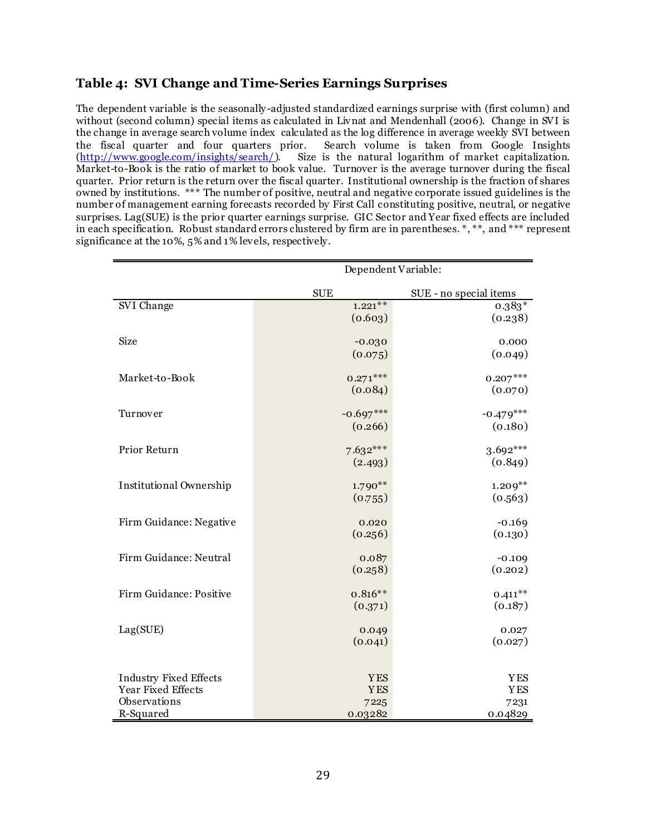### **Table 4: SVI Change and Time-Series Earnings Surprises**

The dependent variable is the seasonally-adjusted standardized earnings surprise with (first column) and without (second column) special items as calculated in Livnat and Mendenhall (2006). Change in SVI is the change in average search volume index calculated as the log difference in average weekly SVI between the fiscal quarter and four quarters prior. Search volume is taken from Google Insights (http://www.google.com/insights/search/). Size is the natural logarithm of market capitalization. Size is the natural logarithm of market capitalization. Market-to-Book is the ratio of market to book value. Turnover is the average turnover during the fiscal quarter. Prior return is the return over the fiscal quarter. Institutional ownership is the fraction of shares owned by institutions. \*\*\* The number of positive, neutral and negative corporate issued guidelines is the number of management earning forecasts recorded by First Call constituting positive, neutral, or negative surprises. Lag(SUE) is the prior quarter earnings surprise. GIC Sector and Year fixed effects are included in each specification. Robust standard errors clustered by firm are in parentheses. \*, \*\*, and \*\*\* represent significance at the 10%, 5% and 1% levels, respectively.

|                                | Dependent Variable: |                        |  |  |  |
|--------------------------------|---------------------|------------------------|--|--|--|
|                                | <b>SUE</b>          | SUE - no special items |  |  |  |
| SVI Change                     | $1.221**$           | $0.383*$               |  |  |  |
|                                | (0.603)             | (0.238)                |  |  |  |
| <b>Size</b>                    | $-0.030$            | 0.000                  |  |  |  |
|                                | (0.075)             | (0.049)                |  |  |  |
| Market-to-Book                 | $0.271***$          | $0.207***$             |  |  |  |
|                                | (0.084)             | (0.070)                |  |  |  |
| Turnover                       | $-0.697***$         | $-0.479***$            |  |  |  |
|                                | (0.266)             | (0.180)                |  |  |  |
| Prior Return                   | $7.632***$          | $3.692***$             |  |  |  |
|                                | (2.493)             | (0.849)                |  |  |  |
| <b>Institutional Ownership</b> | $1.790**$           | $1.209**$              |  |  |  |
|                                | (0.755)             | (0.563)                |  |  |  |
| Firm Guidance: Negative        | 0.020               | $-0.169$               |  |  |  |
|                                | (0.256)             | (0.130)                |  |  |  |
| Firm Guidance: Neutral         | 0.087               | $-0.109$               |  |  |  |
|                                | (0.258)             | (0.202)                |  |  |  |
| Firm Guidance: Positive        | $0.816**$           | $0.411***$             |  |  |  |
|                                | (0.371)             | (0.187)                |  |  |  |
| Lag(SUE)                       | 0.049               | 0.027                  |  |  |  |
|                                | (0.041)             | (0.027)                |  |  |  |
|                                |                     |                        |  |  |  |
| <b>Industry Fixed Effects</b>  | <b>YES</b>          | <b>YES</b>             |  |  |  |
| Year Fixed Effects             | <b>YES</b>          | <b>YES</b>             |  |  |  |
| Observations<br>R-Squared      | 7225<br>0.03282     | 7231<br>0.04829        |  |  |  |
|                                |                     |                        |  |  |  |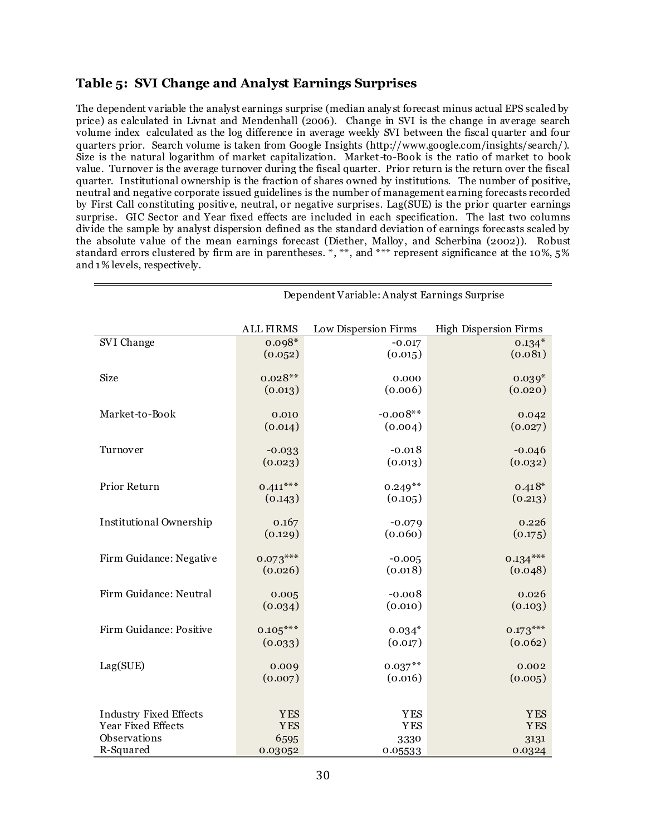#### **Table 5: SVI Change and Analyst Earnings Surprises**

The dependent variable the analyst earnings surprise (median analy st forecast minus actual EPS scaled by price) as calculated in Livnat and Mendenhall (2006). Change in SVI is the change in average search volume index calculated as the log difference in average weekly SVI between the fiscal quarter and four quarters prior. Search volume is taken from Google Insights (http://www.google.com/insights/search/). Size is the natural logarithm of market capitalization. Market-to-Book is the ratio of market to book value. Turnover is the average turnover during the fiscal quarter. Prior return is the return over the fiscal quarter. Institutional ownership is the fraction of shares owned by institutions. The number of positive, neutral and negative corporate issued guidelines is the number of management earning forecasts recorded by First Call constituting positive, neutral, or negative surprises. Lag(SUE) is the prior quarter earnings surprise. GIC Sector and Year fixed effects are included in each specification. The last two columns divide the sample by analyst dispersion defined as the standard deviation of earnings forecasts scaled by the absolute value of the mean earnings forecast (Diether, Malloy, and Scherbina (2002)). Robust standard errors clustered by firm are in parentheses.  $*$ ,  $**$ , and  $***$  represent significance at the 10%, 5% and 1% levels, respectively.

|                                | <b>ALL FIRMS</b>     | Low Dispersion Firms | <b>High Dispersion Firms</b> |
|--------------------------------|----------------------|----------------------|------------------------------|
| SVI Change                     | $0.098*$             | $-0.017$             | $0.134*$                     |
|                                | (0.052)              | (0.015)              | (0.081)                      |
| Size                           |                      |                      |                              |
|                                | $0.028**$<br>(0.013) | 0.000<br>(0.006)     | $0.039*$<br>(0.020)          |
|                                |                      |                      |                              |
| Market-to-Book                 | 0.010                | $-0.008**$           | 0.042                        |
|                                | (0.014)              | (0.004)              | (0.027)                      |
| Turnover                       |                      | $-0.018$             |                              |
|                                | $-0.033$<br>(0.023)  | (0.013)              | $-0.046$<br>(0.032)          |
|                                |                      |                      |                              |
| Prior Return                   | $0.411***$           | $0.249**$            | $0.418*$                     |
|                                | (0.143)              | (0.105)              | (0.213)                      |
|                                |                      |                      |                              |
| <b>Institutional Ownership</b> | 0.167                | $-0.079$             | 0.226                        |
|                                | (0.129)              | (0.060)              | (0.175)                      |
| Firm Guidance: Negative        | $0.073***$           | $-0.005$             | $0.134***$                   |
|                                | (0.026)              | (0.018)              | (0.048)                      |
|                                |                      |                      |                              |
| Firm Guidance: Neutral         | 0.005                | $-0.008$             | 0.026                        |
|                                | (0.034)              | (0.010)              | (0.103)                      |
| Firm Guidance: Positive        | $0.105***$           | $0.034*$             | $0.173***$                   |
|                                | (0.033)              | (0.017)              | (0.062)                      |
|                                |                      |                      |                              |
| Lag(SUE)                       | 0.009                | $0.037***$           | 0.002                        |
|                                | (0.007)              | (0.016)              | (0.005)                      |
|                                |                      |                      |                              |
| <b>Industry Fixed Effects</b>  | <b>YES</b>           | <b>YES</b>           | <b>YES</b>                   |
| Year Fixed Effects             | <b>YES</b>           | <b>YES</b>           | <b>YES</b>                   |
| Observations                   | 6595                 | 3330                 | 3131                         |
| R-Squared                      | 0.03052              | 0.05533              | 0.0324                       |

Dependent Variable: Analy st Earnings Surprise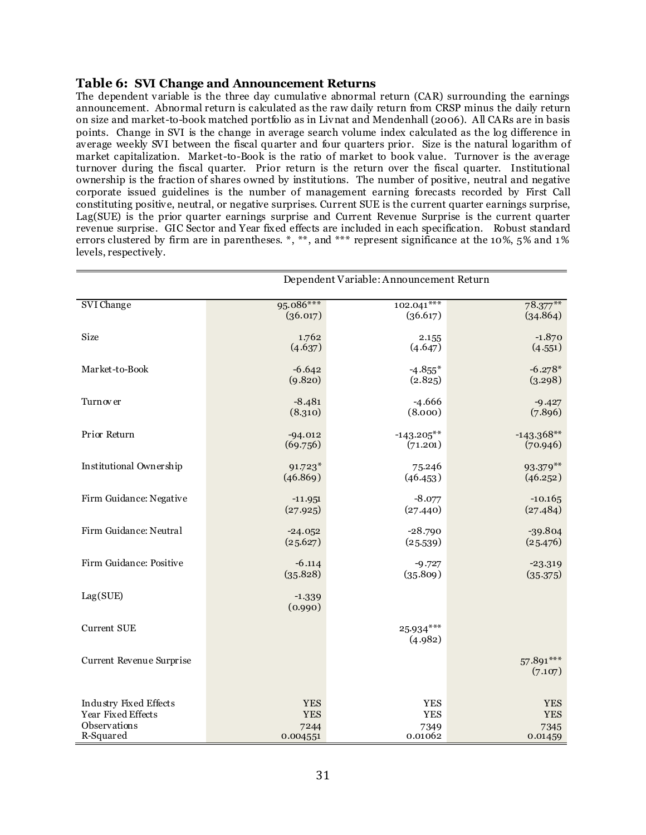#### **Table 6: SVI Change and Announcement Returns**

The dependent variable is the three day cumulative abnormal return (CAR) surrounding the earnings announcement. Abnormal return is calculated as the raw daily return from CRSP minus the daily return on size and market-to-book matched portfolio as in Livnat and Mendenhall (2006). All CARs are in basis points. Change in SVI is the change in average search volume index calculated as the log difference in average weekly SVI between the fiscal quarter and four quarters prior. Size is the natural logarithm of market capitalization. Market-to-Book is the ratio of market to book value. Turnover is the average turnover during the fiscal quarter. Prior return is the return over the fiscal quarter. Institutional ownership is the fraction of shares owned by institutions. The number of positive, neutral and negative corporate issued guidelines is the number of management earning forecasts recorded by First Call constituting positive, neutral, or negative surprises. Current SUE is the current quarter earnings surprise, Lag(SUE) is the prior quarter earnings surprise and Current Revenue Surprise is the current quarter revenue surprise. GIC Sector and Year fixed effects are included in each specification. Robust standard errors clustered by firm are in parentheses. \*, \*\*, and \*\*\* represent significance at the 10%, 5% and 1% levels, respectively.

|                               | Dependent Variable: Announcement Return |                      |                      |  |  |  |
|-------------------------------|-----------------------------------------|----------------------|----------------------|--|--|--|
| <b>SVI</b> Change             | 95.086***                               | $102.041***$         | 78.377**             |  |  |  |
|                               | (36.017)                                | (36.617)             | (34.864)             |  |  |  |
| Size                          | 1.762                                   | 2.155                | $-1.870$             |  |  |  |
|                               | (4.637)                                 | (4.647)              | (4.551)              |  |  |  |
| Market-to-Book                | $-6.642$                                | $-4.855*$            | $-6.278*$            |  |  |  |
|                               | (9.820)                                 | (2.825)              | (3.298)              |  |  |  |
| Turnov er                     | $-8.481$                                | $-4.666$             | $-9.427$             |  |  |  |
|                               | (8.310)                                 | (8.000)              | (7.896)              |  |  |  |
| Prior Return                  | $-94.012$                               | $-143.205***$        | $-143.368**$         |  |  |  |
|                               | (69.756)                                | (71.201)             | (70.946)             |  |  |  |
| Institutional Ownership       | 91.723*                                 | 75.246               | 93.379**             |  |  |  |
|                               | (46.869)                                | (46.453)             | (46.252)             |  |  |  |
| Firm Guidance: Negative       | $-11.951$                               | $-8.077$             | $-10.165$            |  |  |  |
|                               | (27.925)                                | (27.440)             | (27.484)             |  |  |  |
| Firm Guidance: Neutral        | $-24.052$                               | $-28.790$            | $-39.804$            |  |  |  |
|                               | (25.627)                                | (25.539)             | (25.476)             |  |  |  |
| Firm Guidance: Positive       | $-6.114$                                | $-9.727$             | $-23.319$            |  |  |  |
|                               | (35.828)                                | (35.809)             | (35.375)             |  |  |  |
| Lag(SUE)                      | $-1.339$<br>(0.990)                     |                      |                      |  |  |  |
| <b>Current SUE</b>            |                                         | 25.934***<br>(4.982) |                      |  |  |  |
| Current Revenue Surprise      |                                         |                      | 57.891***<br>(7.107) |  |  |  |
| <b>Industry Fixed Effects</b> | <b>YES</b>                              | <b>YES</b>           | <b>YES</b>           |  |  |  |
| Year Fixed Effects            | <b>YES</b>                              | <b>YES</b>           | <b>YES</b>           |  |  |  |
| Observations                  | 7244                                    | 7349                 | 7345                 |  |  |  |
| R-Squared                     | 0.004551                                | 0.01062              | 0.01459              |  |  |  |